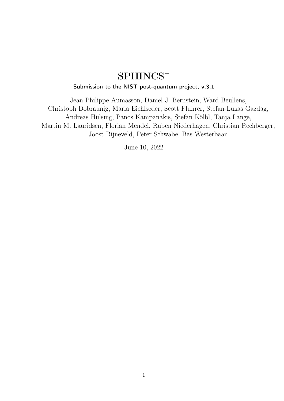# $SPHINCS^+$

### Submission to the NIST post-quantum project, v.3.1

Jean-Philippe Aumasson, Daniel J. Bernstein, Ward Beullens, Christoph Dobraunig, Maria Eichlseder, Scott Fluhrer, Stefan-Lukas Gazdag, Andreas Hülsing, Panos Kampanakis, Stefan Kölbl, Tanja Lange, Martin M. Lauridsen, Florian Mendel, Ruben Niederhagen, Christian Rechberger, Joost Rijneveld, Peter Schwabe, Bas Westerbaan

June 10, 2022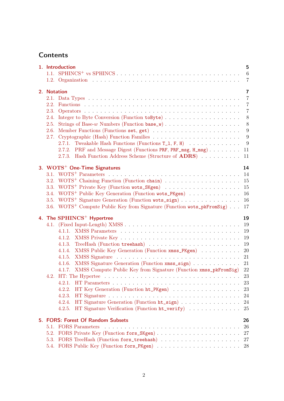## **Contents**

|             | 1. Introduction                                                                    | 5              |
|-------------|------------------------------------------------------------------------------------|----------------|
|             |                                                                                    | 6              |
|             |                                                                                    | $\overline{7}$ |
| 2. Notation |                                                                                    | $\overline{7}$ |
|             |                                                                                    | $\overline{7}$ |
|             |                                                                                    | $\overline{7}$ |
|             |                                                                                    | $\overline{7}$ |
| 2.3.        |                                                                                    |                |
|             |                                                                                    | 8              |
|             |                                                                                    | $8\,$          |
| 2.6.        |                                                                                    | 9              |
| 2.7.        |                                                                                    | 9              |
|             |                                                                                    | 9              |
|             | 2.7.2. PRF and Message Digest (Functions PRF, PRF_msg, H_msg)                      | 11             |
|             | 2.7.3. Hash Function Address Scheme (Structure of <b>ADRS</b> )                    | 11             |
|             | 3. WOTS <sup>+</sup> One-Time Signatures                                           | 14             |
|             |                                                                                    |                |
|             | 3.2. WOTS <sup>+</sup> Chaining Function (Function chain)                          | 15             |
|             |                                                                                    | 15             |
| 3.4.        | WOTS <sup>+</sup> Public Key Generation (Function wots_PKgen)                      | 16             |
|             | 3.5. WOTS <sup>+</sup> Signature Generation (Function wots_sign)                   | 16             |
|             | 3.6. WOTS <sup>+</sup> Compute Public Key from Signature (Function wots_pkFromSig) | 17             |
|             |                                                                                    |                |
|             | 4. The SPHINCS <sup>+</sup> Hypertree                                              | 19             |
|             |                                                                                    | 19             |
|             |                                                                                    | 19             |
|             |                                                                                    | 19             |
|             |                                                                                    | 19             |
|             | 4.1.4. XMSS Public Key Generation (Function xmss_PKgen)                            | 20             |
|             |                                                                                    | 21             |
|             | XMSS Signature Generation (Function xmss_sign)<br>4.1.6.                           | 21             |
|             | 4.1.7. XMSS Compute Public Key from Signature (Function xmss_pkFromSig)            | $22\,$         |
|             |                                                                                    |                |
|             | 23<br>4.2.1.                                                                       |                |
|             | HT Key Generation (Function ht_PKgen)<br>4.2.2.                                    | 23             |
|             | 4.2.3.                                                                             | 24             |
|             | HT Signature Generation (Function ht_sign)<br>4.2.4.                               | 24             |
|             |                                                                                    |                |
|             | HT Signature Verification (Function ht_verify)<br>4.2.5.                           | 25             |
|             |                                                                                    |                |
|             | 5. FORS: Forest Of Random Subsets                                                  | 26             |
|             |                                                                                    | 26             |
| 5.2.        |                                                                                    | 27             |
|             |                                                                                    | 27             |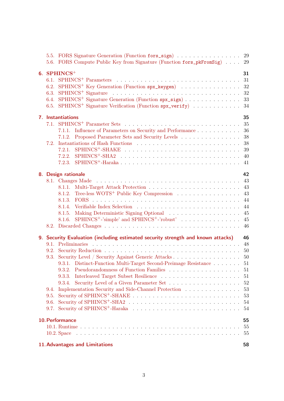|                                      | 5.5. FORS Signature Generation (Function fors_sign)<br>5.6. FORS Compute Public Key from Signature (Function fors_pkFromSig)                                                                                                                                                                                                                                                                                                         | 29<br>29                                                        |
|--------------------------------------|--------------------------------------------------------------------------------------------------------------------------------------------------------------------------------------------------------------------------------------------------------------------------------------------------------------------------------------------------------------------------------------------------------------------------------------|-----------------------------------------------------------------|
| 6.1.<br>6.2.<br>6.3.<br>6.4.<br>6.5. | 6. $SPHINCS$ <sup>+</sup><br>SPHINCS <sup>+</sup> Key Generation (Function spx_keygen)<br>SPHINCS <sup>+</sup> Signature Generation (Function spx_sign)<br>SPHINCS <sup>+</sup> Signature Verification (Function spx_verify)                                                                                                                                                                                                         | 31<br>31<br>32<br>32<br>33<br>34                                |
| 7.2.                                 | 7. Instantiations<br>7.1.1. Influence of Parameters on Security and Performance<br>7.1.2. Proposed Parameter Sets and Security Levels<br>Instantiations of Hash Functions (a) and a series and a series of Hash Functions (b) and a series of the series of the series of the series of Hash Functions (b) and the series of the series of the series of the series of<br>7.2.1.<br>7.2.2.<br>SPHINCS <sup>+</sup> -Haraka<br>7.2.3. | 35<br>36<br>38<br>38<br>39<br>40<br>41                          |
|                                      | 8. Design rationale<br>Tree-less WOTS <sup>+</sup> Public Key Compression<br>8.1.2.<br>8.1.3.<br>8.1.5.<br>SPHINCS <sup>+</sup> -'simple' and SPHINCS <sup>+</sup> -'robust'<br>8.1.6.                                                                                                                                                                                                                                               | 42<br>43<br>43<br>43<br>44<br>44<br>45<br>45<br>46              |
| 9.3.<br>9.4.<br>9.5.<br>9.6.         | 9. Security Evaluation (including estimated security strength and known attacks)<br>Security Level / Security Against Generic Attacks<br>9.3.1. Distinct-Function Multi-Target Second-Preimage Resistance 51<br>9.3.2. Pseudorandomness of Function Families<br>9.3.3.<br>9.3.4.<br>Implementation Security and Side-Channel Protection<br>$\hfill\ldots\ldots\ldots\ldots\ldots\ldots\ldots$                                        | 46<br>48<br>50<br>50<br>-51<br>51<br>52<br>53<br>53<br>54<br>54 |
|                                      | 10. Performance                                                                                                                                                                                                                                                                                                                                                                                                                      | 55<br>55<br>55                                                  |
|                                      | 11. Advantages and Limitations                                                                                                                                                                                                                                                                                                                                                                                                       | 58                                                              |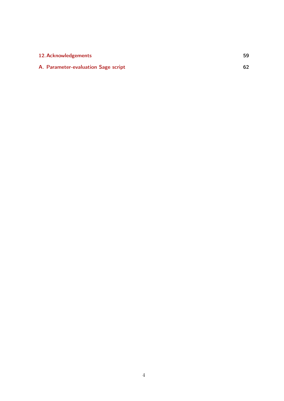| 12. Acknowledgements                | 59 |
|-------------------------------------|----|
| A. Parameter-evaluation Sage script |    |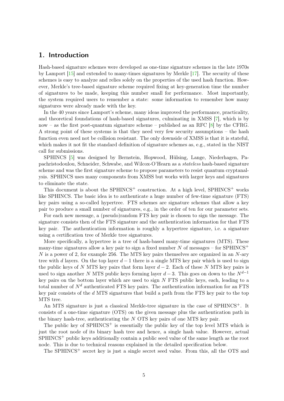### <span id="page-4-1"></span><span id="page-4-0"></span>1. Introduction

Hash-based signature schemes were developed as one-time signature schemes in the late 1970s by Lamport [\[15\]](#page-60-0) and extended to many-times signatures by Merkle [\[17\]](#page-60-1). The security of these schemes is easy to analyze and relies solely on the properties of the used hash function. However, Merkle's tree-based signature scheme required fixing at key-generation time the number of signatures to be made, keeping this number small for performance. Most importantly, the system required users to remember a state: some information to remember how many signatures were already made with the key.

In the 40 years since Lamport's scheme, many ideas improved the performance, practicality, and theoretical foundations of hash-based signatures, culminating in XMSS [\[7\]](#page-59-0), which is by now – as the first post-quantum signature scheme – published as an RFC  $[8]$  by the CFRG. A strong point of these systems is that they need very few security assumptions – the hash function even need not be collision resistant. The only downside of XMSS is that it is stateful, which makes it not fit the standard definition of signature schemes as, e.g., stated in the NIST call for submissions.

SPHINCS [\[5\]](#page-59-2) was designed by Bernstein, Hopwood, Hülsing, Lange, Niederhagen, Papachristodoulou, Schneider, Schwabe, and Wilcox-O'Hearn as a stateless hash-based signature scheme and was the first signature scheme to propose parameters to resist quantum cryptanalysis. SPHINCS uses many components from XMSS but works with larger keys and signatures to eliminate the state.

This document is about the SPHINCS<sup>+</sup> construction. At a high level, SPHINCS<sup>+</sup> works like SPHINCS. The basic idea is to authenticate a huge number of few-time signature (FTS) key pairs using a so-called hypertree. FTS schemes are signature schemes that allow a key pair to produce a small number of signatures, e.g., in the order of ten for our parameter sets.

For each new message, a (pseudo)random FTS key pair is chosen to sign the message. The signature consists then of the FTS signature and the authentication information for that FTS key pair. The authentication information is roughly a hypertree signature, i.e. a signature using a certification tree of Merkle tree signatures.

More specifically, a hypertree is a tree of hash-based many-time signatures (MTS). These many-time signatures allow a key pair to sign a fixed number N of messages – for SPHINCS<sup>+</sup>  $N$  is a power of 2, for example 256. The MTS key pairs themselves are organized in an  $N$ -ary tree with d layers. On the top layer  $d-1$  there is a single MTS key pair which is used to sign the public keys of N MTS key pairs that form layer  $d-2$ . Each of these N MTS key pairs is used to sign another N MTS public keys forming layer  $d-3$ . This goes on down to the  $N^{d-1}$ key pairs on the bottom layer which are used to sign  $N$  FTS public keys, each, leading to a total number of  $N<sup>d</sup>$  authenticated FTS key pairs. The authentication information for an FTS key pair consists of the d MTS signatures that build a path from the FTS key pair to the top MTS tree.

An MTS signature is just a classical Merkle-tree signature in the case of SPHINCS<sup>+</sup>. It consists of a one-time signature (OTS) on the given message plus the authentication path in the binary hash-tree, authenticating the N OTS key pairs of one MTS key pair.

The public key of  $SPHINCS^+$  is essentially the public key of the top level MTS which is just the root node of its binary hash tree and hence, a single hash value. However, actual SPHINCS<sup>+</sup> public keys additionally contain a public seed value of the same length as the root node. This is due to technical reasons explained in the detailed specification below.

The SPHINCS<sup>+</sup> secret key is just a single secret seed value. From this, all the OTS and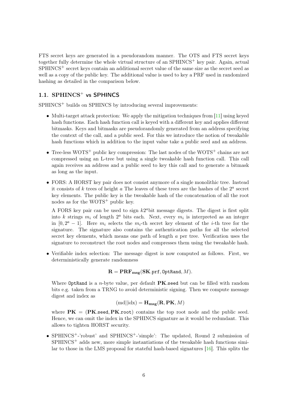<span id="page-5-1"></span>FTS secret keys are generated in a pseudorandom manner. The OTS and FTS secret keys together fully determine the whole virtual structure of an  $SPHINCS<sup>+</sup>$  key pair. Again, actual SPHINCS<sup>+</sup> secret keys contain an additional secret value of the same size as the secret seed as well as a copy of the public key. The additional value is used to key a PRF used in randomized hashing as detailed in the comparison below.

### <span id="page-5-0"></span>1.1. SPHINCS<sup>+</sup> vs SPHINCS

SPHINCS<sup>+</sup> builds on SPHINCS by introducing several improvements:

- Multi-target attack protection: We apply the mitigation techniques from [\[11\]](#page-59-3) using keyed hash functions. Each hash function call is keyed with a different key and applies different bitmasks. Keys and bitmasks are pseudorandomly generated from an address specifying the context of the call, and a public seed. For this we introduce the notion of tweakable hash functions which in addition to the input value take a public seed and an address.
- Tree-less WOTS<sup>+</sup> public key compression: The last nodes of the WOTS<sup>+</sup> chains are not compressed using an L-tree but using a single tweakable hash function call. This call again receives an address and a public seed to key this call and to generate a bitmask as long as the input.
- FORS: A HORST key pair does not consist anymore of a single monolithic tree. Instead it consists of k trees of height a The leaves of these trees are the hashes of the  $2<sup>a</sup>$  secret key elements. The public key is the tweakable hash of the concatenation of all the root nodes as for the  $WOTS^+$  public key.

A FORS key pair can be used to sign  $k2^a$  bit message digests. The digest is first split into k strings  $m_i$  of length  $2^a$  bits each. Next, every  $m_i$  is interpreted as an integer in  $[0, 2^a - 1]$ . Here  $m_i$  selects the  $m_i$ -th secret key element of the *i*-th tree for the signature. The signature also contains the authentication paths for all the selected secret key elements, which means one path of length a per tree. Verification uses the signature to reconstruct the root nodes and compresses them using the tweakable hash.

• Verifiable index selection: The message digest is now computed as follows. First, we deterministically generate randomness

 $\mathbf{R} = \mathbf{PRF}_{\text{msg}}(\mathbf{SK}.\text{prf},\text{OptRand},M).$ 

Where OptRand is a *n*-byte value, per default  $PK$  seed but can be filled with random bits e.g. taken from a TRNG to avoid deterministic signing. Then we compute message digest and index as

$$
(\text{md}||\text{idx}) = \mathbf{H}_{\mathbf{msg}}(\mathbf{R}, \mathbf{PK}, M)
$$

where  $PK = (PK. \text{seed}, PK. \text{root})$  contains the top root node and the public seed. Hence, we can omit the index in the SPHINCS signature as it would be redundant. This allows to tighten HORST security.

• SPHINCS<sup>+</sup>-'robust' and SPHINCS<sup>+</sup>-'simple': The updated, Round 2 submission of  $SPHINCS<sup>+</sup>$  adds new, more simple instantiations of the tweakable hash functions similar to those in the LMS proposal for stateful hash-based signatures [\[16\]](#page-60-2). This splits the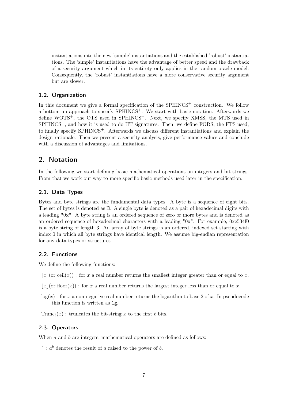instantiations into the new 'simple' instantiations and the established 'robust' instantiations. The 'simple' instantiations have the advantage of better speed and the drawback of a security argument which in its entirety only applies in the random oracle model. Consequently, the 'robust' instantiations have a more conservative security argument but are slower.

### <span id="page-6-0"></span>1.2. Organization

In this document we give a formal specification of the  $SPHINCS<sup>+</sup>$  construction. We follow a bottom-up approach to specify SPHINCS<sup>+</sup>. We start with basic notation. Afterwards we define WOTS<sup>+</sup>, the OTS used in SPHINCS<sup>+</sup>. Next, we specify XMSS, the MTS used in  $SPHINCS<sup>+</sup>$ , and how it is used to do HT signatures. Then, we define FORS, the FTS used. to finally specify SPHINCS+. Afterwards we discuss different instantiations and explain the design rationale. Then we present a security analysis, give performance values and conclude with a discussion of advantages and limitations.

### <span id="page-6-1"></span>2. Notation

In the following we start defining basic mathematical operations on integers and bit strings. From that we work our way to more specific basic methods used later in the specification.

### <span id="page-6-2"></span>2.1. Data Types

Bytes and byte strings are the fundamental data types. A byte is a sequence of eight bits. The set of bytes is denoted as  $\mathbb B$ . A single byte is denoted as a pair of hexadecimal digits with a leading "0x". A byte string is an ordered sequence of zero or more bytes and is denoted as an ordered sequence of hexadecimal characters with a leading "0x". For example, 0xe534f0 is a byte string of length 3. An array of byte strings is an ordered, indexed set starting with index 0 in which all byte strings have identical length. We assume big-endian representation for any data types or structures.

#### <span id="page-6-3"></span>2.2. Functions

We define the following functions:

- $\lceil x \rceil$  (or ceil(x)) : for x a real number returns the smallest integer greater than or equal to x.
- $|x|$  (or floor(x)) : for x a real number returns the largest integer less than or equal to x.
- $log(x)$ : for x a non-negative real number returns the logarithm to base 2 of x. In pseudocode this function is written as lg.

Trunc $\rho(x)$ : truncates the bit-string x to the first  $\ell$  bits.

#### <span id="page-6-4"></span>2.3. Operators

When  $a$  and  $b$  are integers, mathematical operators are defined as follows:

 $\hat{a}$ :  $a^b$  denotes the result of a raised to the power of b.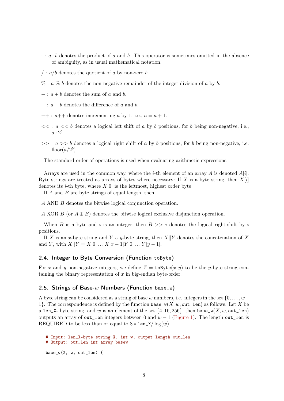- $\cdot : a \cdot b$  denotes the product of a and b. This operator is sometimes omitted in the absence of ambiguity, as in usual mathematical notation.
- $\int$ :  $a/b$  denotes the quotient of a by non-zero b.
- $\%$ :  $a \% b$  denotes the non-negative remainder of the integer division of a by b.
- $+ : a + b$  denotes the sum of a and b.
- $-$ :  $a b$  denotes the difference of a and b.
- $++: a++$  denotes incrementing a by 1, i.e.,  $a=a+1$ .
- $<< : a << b$  denotes a logical left shift of a by b positions, for b being non-negative, i.e.,  $a \cdot 2^b$ .
- $\gg$ :  $a \gg b$  denotes a logical right shift of a by b positions, for b being non-negative, i.e. floor $(a/2^b)$ .

The standard order of operations is used when evaluating arithmetic expressions.

Arrays are used in the common way, where the *i*-th element of an array A is denoted  $A[i]$ . Byte strings are treated as arrays of bytes where necessary: If X is a byte string, then  $X[i]$ denotes its *i*-th byte, where  $X[0]$  is the leftmost, highest order byte.

If  $A$  and  $B$  are byte strings of equal length, then:

A AND B denotes the bitwise logical conjunction operation.

A XOR B (or  $A \oplus B$ ) denotes the bitwise logical exclusive disjunction operation.

When B is a byte and i is an integer, then  $B \gg i$  denotes the logical right-shift by i positions.

If X is an x-byte string and Y a y-byte string, then  $X||Y$  denotes the concatenation of X and Y, with  $X||Y = X[0] \dots X[x-1]Y[0] \dots Y[y-1].$ 

### <span id="page-7-0"></span>2.4. Integer to Byte Conversion (Function toByte)

For x and y non-negative integers, we define  $Z = \texttt{toByte}(x, y)$  to be the y-byte string containing the binary representation of  $x$  in big-endian byte-order.

#### <span id="page-7-1"></span>2.5. Strings of Base-w Numbers (Function base\_w)

A byte string can be considered as a string of base w numbers, i.e. integers in the set  $\{0, \ldots, w-$ 1}. The correspondence is defined by the function base\_ $w(X, w, out_{\text{len}})$  as follows. Let X be a len\_X- byte string, and w is an element of the set  $\{4, 16, 256\}$ , then base\_w(X, w, out\_len) outputs an array of out\_len integers between 0 and  $w - 1$  [\(Figure 1\)](#page-9-0). The length out\_len is REQUIRED to be less than or equal to  $8 * len_X / log(w)$ .

```
# Input: len_X-byte string X, int w, output length out_len
# Output: out_len int array basew
base_w(X, w, out\_len) {
```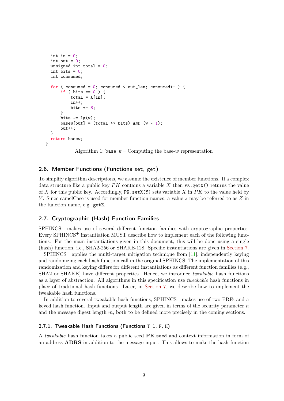```
int in = 0;
 int out = 0;
 unsigned int total = 0;
 int bits = 0:
 int consumed;
  for ( consumed = 0; consumed < out len; consumed++ ) {
      if ( bits == 0 ) {
          total = Xfin:
          in++;
          bits += 8;
      }
      bits - = \lg(w);
      basew[out] = (total >> bits) AND (w - 1);
      out++;
 }
 return basew;
}
```
Algorithm 1:  $base_w - Computing$  the base-w representation

### <span id="page-8-0"></span>2.6. Member Functions (Functions set, get)

To simplify algorithm descriptions, we assume the existence of member functions. If a complex data structure like a public key  $PK$  contains a variable X then PK.getX() returns the value of X for this public key. Accordingly, PK.  $\texttt{set}(Y)$  sets variable X in PK to the value held by Y. Since camelCase is used for member function names, a value z may be referred to as Z in the function name, e.g. getZ.

### <span id="page-8-1"></span>2.7. Cryptographic (Hash) Function Families

SPHINCS<sup>+</sup> makes use of several different function families with cryptographic properties. Every SPHINCS<sup>+</sup> instantiation MUST describe how to implement each of the following functions. For the main instantiations given in this document, this will be done using a single (hash) function, i.e., SHA2-256 or SHAKE-128. Specific instantiations are given in [Section 7.](#page-34-0)

 $SPHINCS^+$  applies the multi-target mitigation technique from [\[11\]](#page-59-3), independently keying and randomizing each hash function call in the original SPHINCS. The implementation of this randomization and keying differs for different instantiations as different function families (e.g., SHA2 or SHAKE) have different properties. Hence, we introduce *tweakable* hash functions as a layer of abstraction. All algorithms in this specification use tweakable hash functions in place of traditional hash functions. Later, in [Section 7,](#page-34-0) we describe how to implement the tweakable hash functions.

In addition to several tweakable hash functions,  $SPHINCS^+$  makes use of two PRFs and a keyed hash function. Input and output length are given in terms of the security parameter  $n$ and the message digest length  $m$ , both to be defined more precisely in the coming sections.

### <span id="page-8-2"></span>2.7.1. Tweakable Hash Functions (Functions T\_l, F, H)

A tweakable hash function takes a public seed  $PK$ .seed and context information in form of an address ADRS in addition to the message input. This allows to make the hash function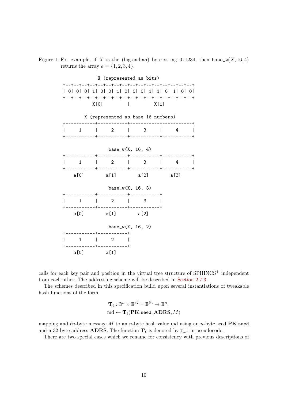

<span id="page-9-0"></span>

calls for each key pair and position in the virtual tree structure of  $SPHINCS<sup>+</sup>$  independent from each other. The addressing scheme will be described in [Section 2.7.3.](#page-10-1)

The schemes described in this specification build upon several instantiations of tweakable hash functions of the form

$$
\mathbf{T}_{\ell} : \mathbb{B}^n \times \mathbb{B}^{32} \times \mathbb{B}^{\ell n} \to \mathbb{B}^n,
$$
  
md  $\leftarrow \mathbf{T}_{\ell}(\mathbf{P} \mathbf{K}.\mathtt{seed}, \mathbf{ADRS}, M)$ 

mapping and  $\ln$ -byte message M to an n-byte hash value md using an n-byte seed PK.seed and a 32-byte address **ADRS**. The function  $T_\ell$  is denoted by  $T_1$  in pseudocode.

There are two special cases which we rename for consistency with previous descriptions of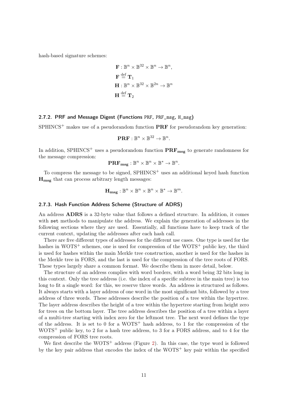hash-based signature schemes:

$$
\mathbf{F}: \mathbb{B}^n \times \mathbb{B}^{32} \times \mathbb{B}^n \to \mathbb{B}^n,
$$
  
\n
$$
\mathbf{F} \stackrel{\text{def}}{=} \mathbf{T}_1
$$
  
\n
$$
\mathbf{H}: \mathbb{B}^n \times \mathbb{B}^{32} \times \mathbb{B}^{2n} \to \mathbb{B}^n
$$
  
\n
$$
\mathbf{H} \stackrel{\text{def}}{=} \mathbf{T}_2
$$

### <span id="page-10-0"></span>2.7.2. PRF and Message Digest (Functions PRF, PRF\_msg, H\_msg)

 $SPHINCS<sup>+</sup>$  makes use of a pseudorandom function  $PRF$  for pseudorandom key generation:

$$
\mathbf{PRF} : \mathbb{B}^n \times \mathbb{B}^{32} \to \mathbb{B}^n.
$$

In addition, SPHINCS<sup>+</sup> uses a pseudorandom function  $\mathbf{PRF}_{\mathbf{msg}}$  to generate randomness for the message compression:

$$
\mathbf{PRF}_{\mathrm{msg}} : \mathbb{B}^n \times \mathbb{B}^n \times \mathbb{B}^* \to \mathbb{B}^n.
$$

To compress the message to be signed, SPHINCS<sup>+</sup> uses an additional keyed hash function H<sub>msg</sub> that can process arbitrary length messages:

$$
\mathbf{H}_{\mathrm{msg}} : \mathbb{B}^n \times \mathbb{B}^n \times \mathbb{B}^n \times \mathbb{B}^* \to \mathbb{B}^m.
$$

#### <span id="page-10-1"></span>2.7.3. Hash Function Address Scheme (Structure of ADRS)

An address ADRS is a 32-byte value that follows a defined structure. In addition, it comes with set methods to manipulate the address. We explain the generation of addresses in the following sections where they are used. Essentially, all functions have to keep track of the current context, updating the addresses after each hash call.

There are five different types of addresses for the different use cases. One type is used for the hashes in WOTS<sup>+</sup> schemes, one is used for compression of the WOTS<sup>+</sup> public key, the third is used for hashes within the main Merkle tree construction, another is used for the hashes in the Merkle tree in FORS, and the last is used for the compression of the tree roots of FORS. These types largely share a common format. We describe them in more detail, below.

The structure of an address complies with word borders, with a word being 32 bits long in this context. Only the tree address (i.e. the index of a specific subtree in the main tree) is too long to fit a single word: for this, we reserve three words. An address is structured as follows. It always starts with a layer address of one word in the most significant bits, followed by a tree address of three words. These addresses describe the position of a tree within the hypertree. The layer address describes the height of a tree within the hypertree starting from height zero for trees on the bottom layer. The tree address describes the position of a tree within a layer of a multi-tree starting with index zero for the leftmost tree. The next word defines the type of the address. It is set to 0 for a  $WOTS^+$  hash address, to 1 for the compression of the  $WOTS<sup>+</sup>$  public key, to 2 for a hash tree address, to 3 for a FORS address, and to 4 for the compression of FORS tree roots.

We first describe the  $WOTS^+$  address (Figure [2\)](#page-11-0). In this case, the type word is followed by the key pair address that encodes the index of the  $WOTS^+$  key pair within the specified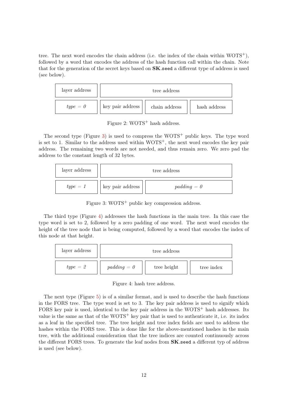tree. The next word encodes the chain address (i.e. the index of the chain within  $WOTS^{+}$ ), followed by a word that encodes the address of the hash function call within the chain. Note that for the generation of the secret keys based on  $SK$  seed a different type of address is used (see below).

| layer address | tree address     |               |              |
|---------------|------------------|---------------|--------------|
| $type = 0$    | key pair address | chain address | hash address |

<span id="page-11-0"></span>Figure 2:  $WOTS^+$  hash address.

The second type (Figure [3\)](#page-11-1) is used to compress the  $WOTS^+$  public keys. The type word is set to 1. Similar to the address used within  $WOTS^+$ , the next word encodes the key pair address. The remaining two words are not needed, and thus remain zero. We zero pad the address to the constant length of 32 bytes.

| layer address |                  | tree address  |  |
|---------------|------------------|---------------|--|
| $type = 1$    | key pair address | $padding = 0$ |  |

<span id="page-11-1"></span>Figure 3: WOTS<sup>+</sup> public key compression address.

The third type (Figure [4\)](#page-11-2) addresses the hash functions in the main tree. In this case the type word is set to 2, followed by a zero padding of one word. The next word encodes the height of the tree node that is being computed, followed by a word that encodes the index of this node at that height.

| layer address | tree address  |             |            |
|---------------|---------------|-------------|------------|
| $type = 2$    | $padding = 0$ | tree height | tree index |

<span id="page-11-2"></span>Figure 4: hash tree address.

The next type (Figure [5\)](#page-12-0) is of a similar format, and is used to describe the hash functions in the FORS tree. The type word is set to 3. The key pair address is used to signify which FORS key pair is used, identical to the key pair address in the  $WOTS<sup>+</sup>$  hash addresses. Its value is the same as that of the  $WOTS^+$  key pair that is used to authenticate it, i.e. its index as a leaf in the specified tree. The tree height and tree index fields are used to address the hashes within the FORS tree. This is done like for the above-mentioned hashes in the main tree, with the additional consideration that the tree indices are counted continuously across the different FORS trees. To generate the leaf nodes from **SK** seed a different typ of address is used (see below).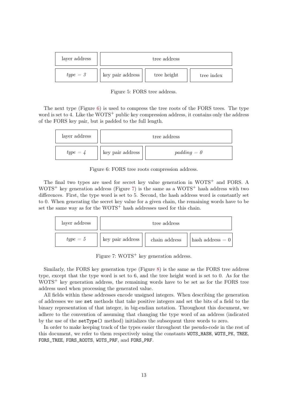| layer address | tree address     |             |            |
|---------------|------------------|-------------|------------|
| $type = 3$    | key pair address | tree height | tree index |

<span id="page-12-0"></span>Figure 5: FORS tree address.

The next type (Figure [6\)](#page-12-1) is used to compress the tree roots of the FORS trees. The type word is set to 4. Like the WOTS<sup>+</sup> public key compression address, it contains only the address of the FORS key pair, but is padded to the full length.



<span id="page-12-1"></span>Figure 6: FORS tree roots compression address.

The final two types are used for secret key value generation in WOTS<sup>+</sup> and FORS. A  $WOTS<sup>+</sup>$  key generation address (Figure [7\)](#page-12-2) is the same as a  $WOTS<sup>+</sup>$  hash address with two differences. First, the type word is set to 5. Second, the hash address word is constantly set to 0. When generating the secret key value for a given chain, the remaining words have to be set the same way as for the  $WOTS^+$  hash addresses used for this chain.

| layer address | tree address     |               |                                  |
|---------------|------------------|---------------|----------------------------------|
| $type=5$      | key pair address | chain address | $\vert$ hash address $= 0 \vert$ |

<span id="page-12-2"></span>Figure 7:  $WOTS^{+}$  key generation address.

Similarly, the FORS key generation type (Figure [8\)](#page-13-2) is the same as the FORS tree address type, except that the type word is set to 6, and the tree height word is set to 0. As for the  $WOTS<sup>+</sup>$  key generation address, the remaining words have to be set as for the FORS tree address used when processing the generated value.

All fields within these addresses encode unsigned integers. When describing the generation of addresses we use set methods that take positive integers and set the bits of a field to the binary representation of that integer, in big-endian notation. Throughout this document, we adhere to the convention of assuming that changing the type word of an address (indicated by the use of the setType() method) initializes the subsequent three words to zero.

In order to make keeping track of the types easier throughout the pseudo-code in the rest of this document, we refer to them respectively using the constants WOTS\_HASH, WOTS\_PK, TREE, FORS\_TREE, FORS\_ROOTS, WOTS\_PRF, and FORS\_PRF.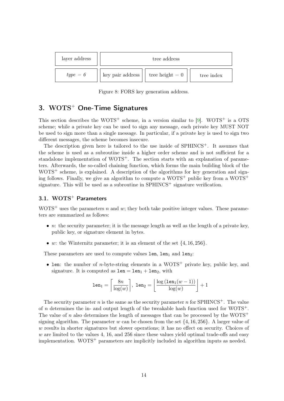<span id="page-13-3"></span>

| layer address | tree address     |                   |            |
|---------------|------------------|-------------------|------------|
| $type = 6$    | key pair address | tree height $= 0$ | tree index |

<span id="page-13-2"></span>Figure 8: FORS key generation address.

## <span id="page-13-0"></span>3. WOTS<sup>+</sup> One-Time Signatures

This section describes the WOTS<sup>+</sup> scheme, in a version similar to  $[9]$ . WOTS<sup>+</sup> is a OTS scheme; while a private key can be used to sign any message, each private key MUST NOT be used to sign more than a single message. In particular, if a private key is used to sign two different messages, the scheme becomes insecure.

The description given here is tailored to the use inside of SPHINCS<sup>+</sup>. It assumes that the scheme is used as a subroutine inside a higher order scheme and is not sufficient for a standalone implementation of WOTS<sup>+</sup>. The section starts with an explanation of parameters. Afterwards, the so-called chaining function, which forms the main building block of the  $WOTS<sup>+</sup>$  scheme, is explained. A description of the algorithms for key generation and signing follows. Finally, we give an algorithm to compute a  $WOTS^+$  public key from a  $WOTS^+$ signature. This will be used as a subroutine in  $SPHINCS^+$  signature verification.

### <span id="page-13-1"></span>3.1.  $WOTS^{+}$  Parameters

WOTS<sup>+</sup> uses the parameters n and w; they both take positive integer values. These parameters are summarized as follows:

- *n*: the security parameter; it is the message length as well as the length of a private key, public key, or signature element in bytes.
- w: the Winternitz parameter; it is an element of the set  $\{4, 16, 256\}$ .

These parameters are used to compute values  $len$ ,  $len<sub>1</sub>$  and  $len<sub>2</sub>$ :

• len: the number of *n*-byte-string elements in a WOTS<sup>+</sup> private key, public key, and signature. It is computed as  $len = len_1 + len_2$ , with

$$
\texttt{len}_1 = \left\lceil \frac{8n}{\log(w)} \right\rceil, \; \texttt{len}_2 = \left\lfloor \frac{\log\left(\texttt{len}_1(w-1)\right)}{\log(w)} \right\rfloor + 1
$$

The security parameter n is the same as the security parameter n for SPHINCS<sup>+</sup>. The value of  $n$  determines the in- and output length of the tweakable hash function used for WOTS<sup>+</sup>. The value of n also determines the length of messages that can be processed by the  $WOTS^+$ signing algorithm. The parameter w can be chosen from the set  $\{4, 16, 256\}$ . A larger value of  $w$  results in shorter signatures but slower operations; it has no effect on security. Choices of  $w$  are limited to the values 4, 16, and 256 since these values yield optimal trade-offs and easy implementation.  $WOTS^+$  parameters are implicitly included in algorithm inputs as needed.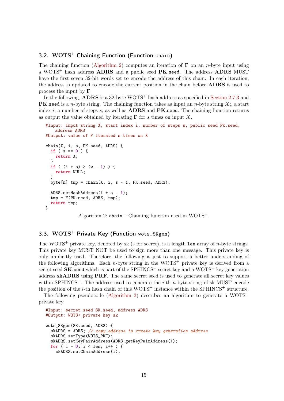### <span id="page-14-0"></span>3.2.  $WOTS^{+}$  Chaining Function (Function chain)

The chaining function [\(Algorithm 2\)](#page-14-2) computes an iteration of **F** on an *n*-byte input using a WOTS<sup>+</sup> hash address **ADRS** and a public seed **PK**.seed. The address **ADRS** MUST have the first seven 32-bit words set to encode the address of this chain. In each iteration, the address is updated to encode the current position in the chain before ADRS is used to process the input by F.

In the following, **ADRS** is a 32-byte WOTS<sup>+</sup> hash address as specified in [Section 2.7.3](#page-10-1) and **PK**.seed is a *n*-byte string. The chaining function takes as input an *n*-byte string X;, a start index i, a number of steps s, as well as  $\bf{ADRS}$  and  $\bf{PK}$  seed. The chaining function returns as output the value obtained by iterating  $\bf{F}$  for s times on input X.

```
#Input: Input string X, start index i, number of steps s, public seed PK.seed,
   address ADRS
#Output: value of F iterated s times on X
chain(X, i, s, PK.seed, ADRS) {
 if ( s == 0 ) {
   return X;
 }
 if ( (i + s) > (w - 1) ) {
   return NULL;
 }
 byte[n] tmp = chain(X, i, s - 1, PK. seed, ADRS);ADRS.setHashAddress(i + s - 1);
 tmp = F(PK.seed, ADRS, tmp);
  return tmp;
}
```
Algorithm 2: chain – Chaining function used in  $WOTS^+$ .

### <span id="page-14-1"></span>3.3.  $WOTS^{+}$  Private Key (Function wots SKgen)

The WOTS<sup>+</sup> private key, denoted by sk (s for secret), is a length len array of *n*-byte strings. This private key MUST NOT be used to sign more than one message. This private key is only implicitly used. Therefore, the following is just to support a better understanding of the following algorithms. Each *n*-byte string in the WOTS<sup>+</sup> private key is derived from a secret seed  $SK$  seed which is part of the SPHINCS<sup>+</sup> secret key and a WOTS<sup>+</sup> key generation address skADRS using PRF. The same secret seed is used to generate all secret key values within SPHINCS<sup>+</sup>. The address used to generate the *i*-th *n*-byte string of sk MUST encode the position of the *i*-th hash chain of this  $WOTS^+$  instance within the SPHINCS<sup>+</sup> structure.

The following pseudocode [\(Algorithm 3\)](#page-14-3) describes an algorithm to generate a  $WOTS^+$ private key.

```
#Input: secret seed SK.seed, address ADRS
#Output: WOTS+ private key sk
wots_SKgen(SK.seed, ADRS) {
 skADRS = ADRS; // copy address to create key generation address
 skADRS.setType(WOTS_PRF);
 skADRS.setKeyPairAddress(ADRS.getKeyPairAddress());
 for ( i = 0; i < len; i++) {
    skADRS.setChainAddress(i);
```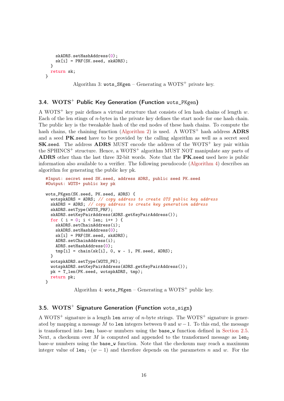```
skADRS.setHashAddress(0);
    sk[i] = PRF(SK.seed, skADRS);}
 return sk;
}
```
Algorithm 3: wots  $SKgen - Generating a WOTS^+$  private key.

### <span id="page-15-0"></span>3.4.  $WOTS^{+}$  Public Key Generation (Function wots PKgen)

A WOTS<sup>+</sup> key pair defines a virtual structure that consists of len hash chains of length  $w$ . Each of the len stings of n-bytes in the private key defines the start node for one hash chain. The public key is the tweakable hash of the end nodes of these hash chains. To compute the hash chains, the chaining function [\(Algorithm 2\)](#page-14-2) is used. A WOTS<sup>+</sup> hash address **ADRS** and a seed PK.seed have to be provided by the calling algorithm as well as a secret seed **SK.seed.** The address **ADRS** MUST encode the address of the WOTS<sup>+</sup> key pair within the SPHINCS<sup>+</sup> structure. Hence, a WOTS<sup>+</sup> algorithm MUST NOT manipulate any parts of ADRS other than the last three 32-bit words. Note that the PK.seed used here is public information also available to a verifier. The following pseudocode [\(Algorithm 4\)](#page-15-2) describes an algorithm for generating the public key pk.

```
#Input: secret seed SK.seed, address ADRS, public seed PK.seed
#Output: WOTS+ public key pk
wots_PKgen(SK.seed, PK.seed, ADRS) {
 wotspkADRS = ADRS; \frac{1}{2} copy address to create OTS public key address
 skADRS = ADRS; // copy address to create key generation address
 skADRS.setType(WOTS_PRF);
 skADRS.setKeyPairAddress(ADRS.getKeyPairAddress());
 for ( i = 0; i < len; i++) {
   skADRS.setChainAddress(i);
    skADRS.setHashAddress(0);
    sk[i] = PRF(SK.seed, skADRS);ADRS.setChainAddress(i);
    ADRS.setHashAddress(0);
    tmp[i] = chain(sk[i], 0, w - 1, PK.seed, ADRS);}
 wotspkADRS.setType(WOTS_PK);
 wotspkADRS.setKeyPairAddress(ADRS.getKeyPairAddress());
 pk = T_len(PK.seed, wotspkADRS, tmp);
 return pk;
}
```
Algorithm 4: wots\_PKgen – Generating a WOTS<sup>+</sup> public key.

### <span id="page-15-1"></span>3.5.  $WOTS^{+}$  Signature Generation (Function wots\_sign)

A WOTS<sup>+</sup> signature is a length len array of *n*-byte strings. The WOTS<sup>+</sup> signature is generated by mapping a message M to len integers between 0 and  $w-1$ . To this end, the message is transformed into  $1en_1$  base-w numbers using the base\_w function defined in [Section 2.5.](#page-7-1) Next, a checksum over M is computed and appended to the transformed message as  $1en_2$ base-w numbers using the base\_w function. Note that the checksum may reach a maximum integer value of  $1en_1 \cdot (w-1)$  and therefore depends on the parameters n and w. For the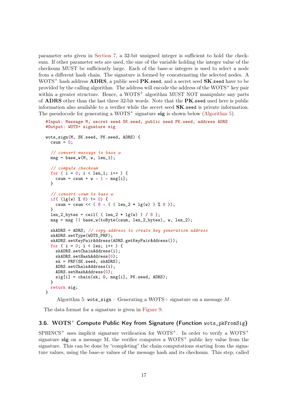parameter sets given in [Section 7,](#page-34-0) a 32-bit unsigned integer is sufficient to hold the checksum. If other parameter sets are used, the size of the variable holding the integer value of the checksum MUST be sufficiently large. Each of the base- $w$  integers is used to select a node from a different hash chain. The signature is formed by concatenating the selected nodes. A  $WOTS<sup>+</sup>$  hash address  $ADRS$ , a public seed  $PK$ .seed, and a secret seed  $SK$ .seed have to be provided by the calling algorithm. The address will encode the address of the  $WOTS<sup>+</sup>$  key pair within a greater structure. Hence, a  $WOTS^+$  algorithm MUST NOT manipulate any parts of ADRS other than the last three 32-bit words. Note that the PK.seed used here is public information also available to a verifier while the secret seed  $SK.$  seed is private information. The pseudocode for generating a WOTS<sup>+</sup> signature  $sig$  is shown below [\(Algorithm 5\)](#page-16-1).

```
#Input: Message M, secret seed SK.seed, public seed PK.seed, address ADRS
#Output: WOTS+ signature sig
wots_sign(M, SK.seed, PK.seed, ADRS) {
 csum = 0;
  // convert message to base w
 msg = base_w(M, w, len_1);// compute checksum
 for ( i = 0; i < len_1; i++) {
   csum = csum + w - 1 - msg[i];}
  // convert csum to base w
 if( (\lg(w) \, % \, 8) != 0) {
   csum = csum << ( 8 - ( ( 1en_2 * 1g(w) ) % 8 ));
 }
 len_2_bytes = ceil( ( len_2 * lg(w) ) / 8 );
 msg = msg || base_w(toByte(csum, len_2_bytes), w, len_2);
 skADRS = ADRS; // copy address to create key generation address
 skADRS.setType(WOTS_PRF);
 skADRS.setKeyPairAddress(ADRS.getKeyPairAddress());
 for ( i = 0; i < len; i++) {
    skADRS.setChainAddress(i);
    skADRS.setHashAddress(0);
    sk = PRF(SK.seed, skADRS);
    ADRS.setChainAddress(i);
    ADRS.setHashAddress(0);
    sig[i] = chain(sk, 0, msg[i], PK.seed, ADRS);
 }
  return sig;
}
```
Algorithm 5: wots\_sign – Generating a WOTS+ signature on a message  $M$ .

The data format for a signature is given in [Figure 9.](#page-17-0)

### <span id="page-16-0"></span>3.6.  $WOTS^{+}$  Compute Public Key from Signature (Function wots\_pkFromSig)

 $SPHINCS^+$  uses implicit signature verification for WOTS<sup>+</sup>. In order to verify a WOTS<sup>+</sup> signature sig on a message M, the verifier computes a  $WOTS^+$  public key value from the signature. This can be done by "completing" the chain computations starting from the signature values, using the base-w values of the message hash and its checksum. This step, called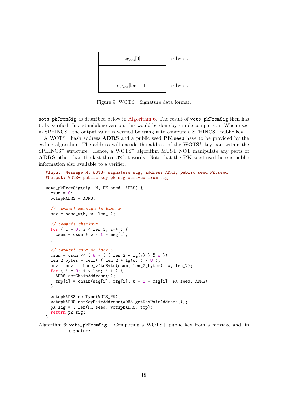

<span id="page-17-0"></span>Figure 9: WOTS<sup>+</sup> Signature data format.

wots\_pkFromSig, is described below in [Algorithm 6.](#page-17-1) The result of wots\_pkFromSig then has to be verified. In a standalone version, this would be done by simple comparison. When used in SPHINCS<sup>+</sup> the output value is verified by using it to compute a SPHINCS<sup>+</sup> public key.

A WOTS<sup>+</sup> hash address **ADRS** and a public seed **PK**.seed have to be provided by the calling algorithm. The address will encode the address of the  $WOTS^+$  key pair within the  $SPHINCS^+$  structure. Hence, a WOTS<sup>+</sup> algorithm MUST NOT manipulate any parts of ADRS other than the last three 32-bit words. Note that the PK seed used here is public information also available to a verifier.

```
#Input: Message M, WOTS+ signature sig, address ADRS, public seed PK.seed
#Output: WOTS+ public key pk_sig derived from sig
wots_pkFromSig(sig, M, PK.seed, ADRS) {
 csum = 0;
 wotspkADRS = ADRS;
  // convert message to base w
 msg = base_w(M, w, len_1);// compute checksum
 for ( i = 0; i < len_1; i++) {
    csum = csum + w - 1 - msg[i];}
 // convert csum to base w
 csum = csum << (8 - ( (\text{len}_2 * \text{lg}(w) ) % 8 ));len_2_b bytes = ceil( (len_2 * 1g(w)) / 8 );
 msg = msg || base_w(toByte(csum, len_2_bytes), w, len_2);
 for ( i = 0; i < 1en; i^{++} ) {
    ADRS.setChainAddress(i);
    tmp[i] = chain(sign[i], msg[i], w - 1 - msg[i], PK.seed, ADRS);}
 wotspkADRS.setType(WOTS_PK);
 wotspkADRS.setKeyPairAddress(ADRS.getKeyPairAddress());
 pk_sig = T_len(PK.seed, wotspkADRS, tmp);
 return pk_sig;
}
```
Algorithm 6: wots\_pkFromSig – Computing a WOTS+ public key from a message and its signature.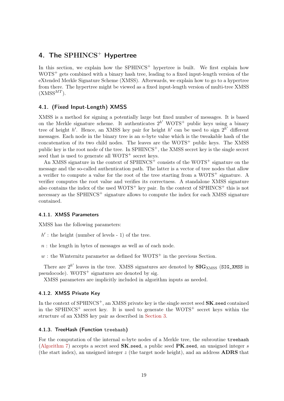## <span id="page-18-0"></span>4. The  $SPHINCS$ <sup>+</sup> Hypertree

In this section, we explain how the  $SPHINCS^+$  hypertree is built. We first explain how  $WOTS<sup>+</sup> gets combined with a binary hash tree, leading to a fixed input-length version of the$ eXtended Merkle Signature Scheme (XMSS). Afterwards, we explain how to go to a hypertree from there. The hypertree might be viewed as a fixed input-length version of multi-tree XMSS  $(XMSS^{MT})$ .

### <span id="page-18-1"></span>4.1. (Fixed Input-Length) XMSS

XMSS is a method for signing a potentially large but fixed number of messages. It is based on the Merkle signature scheme. It authenticates  $2^{h'}$  WOTS<sup>+</sup> public keys using a binary tree of height h'. Hence, an XMSS key pair for height h' can be used to sign  $2^{h'}$  different messages. Each node in the binary tree is an  $n$ -byte value which is the tweakable hash of the concatenation of its two child nodes. The leaves are the  $WOTS^+$  public keys. The XMSS public key is the root node of the tree. In  $SPHINCS^+$ , the XMSS secret key is the single secret seed that is used to generate all  $WOTS^+$  secret keys.

An XMSS signature in the context of SPHINCS<sup>+</sup> consists of the WOTS<sup>+</sup> signature on the message and the so-called authentication path. The latter is a vector of tree nodes that allow a verifier to compute a value for the root of the tree starting from a  $WOTS^+$  signature. A verifier computes the root value and verifies its correctness. A standalone XMSS signature also contains the index of the used  $WOTS^+$  key pair. In the context of  $SPHINCS^+$  this is not necessary as the SPHINCS<sup> $+$ </sup> signature allows to compute the index for each XMSS signature contained.

#### <span id="page-18-2"></span>4.1.1. XMSS Parameters

XMSS has the following parameters:

- $h'$ : the height (number of levels 1) of the tree.
- n : the length in bytes of messages as well as of each node.
- w : the Winternitz parameter as defined for  $WOTS^+$  in the previous Section.

There are  $2^{h'}$  leaves in the tree. XMSS signatures are denoted by  $\text{SIG}_{XMSS}$  (SIG\_XMSS in pseudocode).  $WOTS^+$  signatures are denoted by sig.

XMSS parameters are implicitly included in algorithm inputs as needed.

### <span id="page-18-3"></span>4.1.2. XMSS Private Key

In the context of SPHINCS<sup>+</sup>, an XMSS private key is the single secret seed **SK**.seed contained in the SPHINCS<sup>+</sup> secret key. It is used to generate the WOTS<sup>+</sup> secret keys within the structure of an XMSS key pair as described in [Section 3.](#page-13-0)

#### <span id="page-18-4"></span>4.1.3. TreeHash (Function treehash)

For the computation of the internal  $n$ -byte nodes of a Merkle tree, the subroutine treehash [\(Algorithm 7\)](#page-19-1) accepts a secret seed  $SK.$ seed, a public seed  $PK.$ seed, an unsigned integer s (the start index), an unsigned integer z (the target node height), and an address ADRS that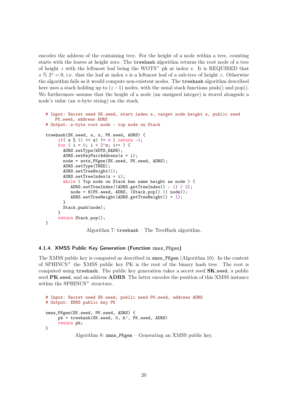encodes the address of the containing tree. For the height of a node within a tree, counting starts with the leaves at height zero. The treehash algorithm returns the root node of a tree of height z with the leftmost leaf being the WOTS<sup>+</sup> pk at index s. It is REQUIRED that  $s\% 2^z = 0$ , i.e. that the leaf at index s is a leftmost leaf of a sub-tree of height z. Otherwise the algorithm fails as it would compute non-existent nodes. The treehash algorithm described here uses a stack holding up to  $(z-1)$  nodes, with the usual stack functions push() and pop(). We furthermore assume that the height of a node (an unsigned integer) is stored alongside a node's value (an n-byte string) on the stack.

```
# Input: Secret seed SK.seed, start index s, target node height z, public seed
   PK.seed, address ADRS
# Output: n-byte root node - top node on Stack
treehash(SK.seed, s, z, PK.seed, ADRS) {
     if( s % (1 \ll z) != 0 ) return -1;
     for ( i = 0; i < 2^z; i++ ) {
       ADRS.setType(WOTS_HASH);
       ADRS.setKeyPairAddress(s + i);
       node = wots_PKgen(SK.seed, PK.seed, ADRS);
       ADRS.setType(TREE);
       ADRS.setTreeHeight(1);
       ADRS.setTreeIndex(s + i);
       while ( Top node on Stack has same height as node ) {
          ADRS.setTreeIndex((ADRS.getTreeIndex() - 1) / 2);
          node = H(PK.seed, ADRS, (Stack.pop() || node));
          ADRS.setTreeHeight(ADRS.getTreeHeight() + 1);
       }
       Stack.push(node);
     }
     return Stack.pop();
}
```
Algorithm 7: treehash – The TreeHash algorithm.

#### <span id="page-19-0"></span>4.1.4. XMSS Public Key Generation (Function xmss\_PKgen)

The XMSS public key is computed as described in xmss\_PKgen (Algorithm 10). In the context of  $SPHINCS^+$  the XMSS public key PK is the root of the binary hash tree. The root is computed using treehash. The public key generation takes a secret seed  $SK.$ seed, a public seed PK.seed, and an address ADRS. The latter encodes the position of this XMSS instance within the  $SPHINCS$ <sup>+</sup> structure.

```
# Input: Secret seed SK.seed, public seed PK.seed, address ADRS
# Output: XMSS public key PK
xmss_PKgen(SK.seed, PK.seed, ADRS) {
     pk = treehash(SK.seed, 0, h', PK.seed, ADRS)return pk;
}
            Algorithm 8: xmss_PKgen – Generating an XMSS public key.
```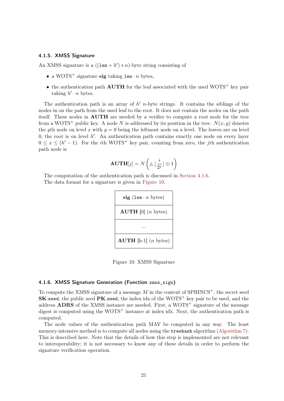#### <span id="page-20-0"></span>4.1.5. XMSS Signature

An XMSS signature is a  $((len + h') * n)$ -byte string consisting of

- a WOTS<sup>+</sup> signature sig taking len  $\cdot n$  bytes,
- the authentication path  $\text{AUTH}$  for the leaf associated with the used WOTS<sup>+</sup> key pair taking  $h' \cdot n$  bytes.

The authentication path is an array of  $h'$  n-byte strings. It contains the siblings of the nodes in on the path from the used leaf to the root. It does not contain the nodes on the path itself. These nodes in AUTH are needed by a verifier to compute a root node for the tree from a WOTS<sup>+</sup> public key. A node N is addressed by its position in the tree.  $N(x, y)$  denotes the yth node on level x with  $y = 0$  being the leftmost node on a level. The leaves are on level 0, the root is on level  $h'$ . An authentication path contains exactly one node on every layer  $0 \leq x \leq (h'-1)$ . For the *i*th WOTS<sup>+</sup> key pair, counting from zero, the *j*th authentication path node is

$$
\textbf{AUTH}[j] = N\left(j, \lfloor \frac{i}{2^j} \rfloor \oplus 1\right)
$$

The computation of the authentication path is discussed in [Section 4.1.6.](#page-20-1) The data format for a signature is given in [Figure 10.](#page-20-2)



<span id="page-20-2"></span>Figure 10: XMSS Signature

#### <span id="page-20-1"></span>4.1.6. XMSS Signature Generation (Function xmss\_sign)

To compute the XMSS signature of a message  $M$  in the context of SPHINCS<sup>+</sup>, the secret seed  $SK.$ seed, the public seed  $PK.$ seed, the index idx of the WOTS<sup>+</sup> key pair to be used, and the address **ADRS** of the XMSS instance are needed. First, a WOTS<sup>+</sup> signature of the message digest is computed using the  $WOTS^+$  instance at index idx. Next, the authentication path is computed.

The node values of the authentication path MAY be computed in any way. The least memory-intensive method is to compute all nodes using the treehash algorithm [\(Algorithm 7\)](#page-19-1). This is described here. Note that the details of how this step is implemented are not relevant to interoperability; it is not necessary to know any of these details in order to perform the signature verification operation.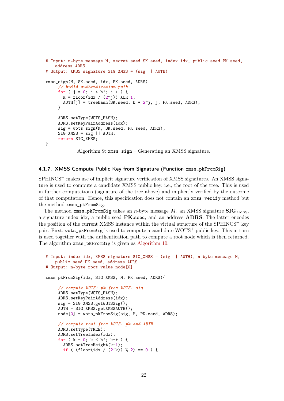```
# Input: n-byte message M, secret seed SK.seed, index idx, public seed PK.seed,
   address ADRS
# Output: XMSS signature SIG_XMSS = (sig || AUTH)
xmss_sign(M, SK.seed, idx, PK.seed, ADRS)
     // build authentication path
     for ( j = 0; j < h'; j++) {
       k = floor(idx / (2^j)) XOR 1;
       AUTH[j] = treehash(SK.seed, k * 2^j, j, PK.seed, ADRS);}
     ADRS.setType(WOTS_HASH);
     ADRS.setKeyPairAddress(idx);
     sig = wots_sign(M, SK.seed, PK.seed, ADRS);
     SIG_XMSS = sig || AUTH;return SIG_XMSS;
}
            Algorithm 9: xmss_sign – Generating an XMSS signature.
```
### <span id="page-21-0"></span>4.1.7. XMSS Compute Public Key from Signature (Function xmss\_pkFromSig)

 $SPHINCS<sup>+</sup>$  makes use of implicit signature verification of XMSS signatures. An XMSS signature is used to compute a candidate XMSS public key, i.e., the root of the tree. This is used in further computations (signature of the tree above) and implicitly verified by the outcome of that computation. Hence, this specification does not contain an xmss\_verify method but the method xmss\_pkFromSig.

The method  $xms_1pkFromSign\; takes\; an\; n-byte message\; M, an XMSS signature\; SIG_{XMSS},$ a signature index idx, a public seed PK.seed, and an address ADRS. The latter encodes the position of the current XMSS instance within the virtual structure of the SPHINCS<sup>+</sup> key pair. First, wots\_pkFromSig is used to compute a candidate  $WOTS^+$  public key. This in turn is used together with the authentication path to compute a root node which is then returned. The algorithm xmss\_pkFromSig is given as [Algorithm 10.](#page-21-1)

```
# Input: index idx, XMSS signature SIG_XMSS = (sig || AUTH), n-byte message M,
   public seed PK.seed, address ADRS
# Output: n-byte root value node[0]
xmss_pkFromSig(idx, SIG_XMSS, M, PK.seed, ADRS){
     // compute WOTS+ pk from WOTS+ sig
    ADRS.setType(WOTS_HASH);
    ADRS.setKeyPairAddress(idx);
    sig = SIG_XMSS.getWOTSSig();
    AUTH = SIG_XMSS.getXMSSAUTH();
    node[0] = wots_pkFromSig(sig, M, PK.seed, ADRS);
    // compute root from WOTS+ pk and AUTH
    ADRS.setType(TREE);
    ADRS.setTreeIndex(idx);
    for ( k = 0; k < h'; k++ ) {
       ADRS.setTreeHeight(k+1);
       if ( (floor_idx / (2^k)) % 2 = 0 ) {
```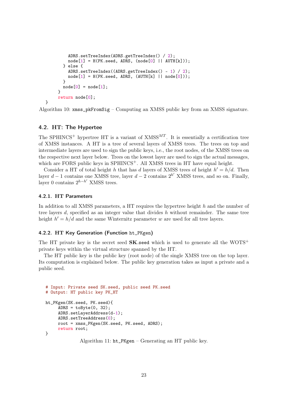```
ADRS.setTreeIndex(ADRS.getTreeIndex() / 2);
         node[1] = H(PK.sleepd, ADRS, (node[0] || AUTH[k]));
       } else {
         ADRS.setTreeIndex((ADRS.getTreeIndex() - 1) / 2);
         node[1] = H(PK, seed, ADRS, (AUTH[k] || node[0]));
       }
       node[0] = node[1];}
     return node[0];
}
```
Algorithm 10: xmss\_pkFromSig – Computing an XMSS public key from an XMSS signature.

### <span id="page-22-0"></span>4.2. HT: The Hypertee

The SPHINCS<sup>+</sup> hypertree HT is a variant of  $XMSS<sup>MT</sup>$ . It is essentially a certification tree of XMSS instances. A HT is a tree of several layers of XMSS trees. The trees on top and intermediate layers are used to sign the public keys, i.e., the root nodes, of the XMSS trees on the respective next layer below. Trees on the lowest layer are used to sign the actual messages, which are FORS public keys in SPHINCS<sup>+</sup>. All XMSS trees in HT have equal height.

Consider a HT of total height h that has d layers of XMSS trees of height  $h' = h/d$ . Then layer  $d-1$  contains one XMSS tree, layer  $d-2$  contains  $2^{h'}$  XMSS trees, and so on. Finally, layer 0 contains  $2^{h-h'}$  XMSS trees.

#### <span id="page-22-1"></span>4.2.1. HT Parameters

In addition to all XMSS parameters, a HT requires the hypertree height h and the number of tree layers d, specified as an integer value that divides h without remainder. The same tree height  $h' = h/d$  and the same Winternitz parameter w are used for all tree layers.

#### <span id="page-22-2"></span>4.2.2. HT Key Generation (Function ht\_PKgen)

The HT private key is the secret seed  $SK$  seed which is used to generate all the WOTS<sup>+</sup> private keys within the virtual structure spanned by the HT.

The HT public key is the public key (root node) of the single XMSS tree on the top layer. Its computation is explained below. The public key generation takes as input a private and a public seed.

```
# Input: Private seed SK.seed, public seed PK.seed
# Output: HT public key PK_HT
ht_PKgen(SK.seed, PK.seed){
     ADRS = toByte(0, 32);ADRS.setLayerAddress(d-1);
     ADRS.setTreeAddress(0);
     root = xmss_PKgen(SK.seed, PK.seed, ADRS);
     return root;
}
```
Algorithm 11: ht\_PKgen – Generating an HT public key.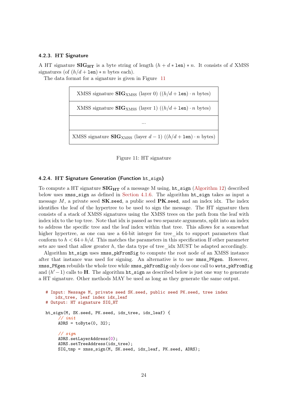### <span id="page-23-0"></span>4.2.3. HT Signature

A HT signature SIG<sub>HT</sub> is a byte string of length  $(h + d * \text{len}) * n$ . It consists of d XMSS signatures (of  $(h/d + \text{len}) * n$  bytes each).

The data format for a signature is given in Figure [11](#page-23-2)

| XMSS signature $\text{SIG}_{\text{XMSS}}$ (layer 0) $((h/d + \text{len}) \cdot n \text{ bytes})$   |
|----------------------------------------------------------------------------------------------------|
| XMSS signature $\text{SIG}_{\text{XMSS}}$ (layer 1) $((h/d + \text{len}) \cdot n \text{ bytes})$   |
| $\cdots$                                                                                           |
| XMSS signature $\textbf{SIG}_{\text{XMSS}}$ (layer $d-1$ ) ( $(h/d + \texttt{len}) \cdot n$ bytes) |

<span id="page-23-2"></span>

#### <span id="page-23-1"></span>4.2.4. HT Signature Generation (Function ht\_sign)

To compute a HT signature  $\mathbf{SIG}_{\mathbf{HT}}$  of a message M using,  $\mathbf{ht}\_ \mathbf{sign}$  [\(Algorithm 12\)](#page-23-3) described below uses xmss\_sign as defined in [Section 4.1.6.](#page-20-1) The algorithm ht\_sign takes as input a message  $M$ , a private seed  $SK.$ seed, a public seed  $PK.$ seed, and an index idx. The index identifies the leaf of the hypertree to be used to sign the message. The HT signature then consists of a stack of XMSS signatures using the XMSS trees on the path from the leaf with index idx to the top tree. Note that idx is passed as two separate arguments, split into an index to address the specific tree and the leaf index within that tree. This allows for a somewhat higher hypertree, as one can use a 64-bit integer for tree idx to support parameters that conform to  $h < 64+h/d$ . This matches the parameters in this specification If other parameter sets are used that allow greater  $h$ , the data type of tree  $\Delta$  idx MUST be adapted accordingly.

Algorithm ht\_sign uses xmss\_pkFromSig to compute the root node of an XMSS instance after that instance was used for signing. An alternative is to use xmss\_PKgen. However, xmss\_PKgen rebuilds the whole tree while xmss\_pkFromSig only does one call to wots\_pkFromSig and  $(h'-1)$  calls to **H**. The algorithm **ht\_sign** as described below is just one way to generate a HT signature. Other methods MAY be used as long as they generate the same output.

```
# Input: Message M, private seed SK.seed, public seed PK.seed, tree index
   idx_tree, leaf index idx_leaf
# Output: HT signature SIG_HT
ht_sign(M, SK.seed, PK.seed, idx_tree, idx_leaf) {
     // init
     ADRS = toByte(0, 32);// sign
     ADRS.setLayerAddress(0);
     ADRS.setTreeAddress(idx_tree);
     SIG_tmp = xmss_sign(M, SK.seed, idx_leaf, PK.seed, ADRS);
```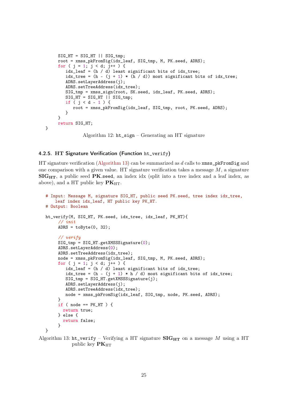```
SIG HT = SIG HT || SIG tmp:
     root = xmss_pkFromSig(idx_leaf, SIG_tmp, M, PK.seed, ADRS);
     for ( j = 1; j < d; j^{++} ) {
        idx\_leaf = (h / d) least significant bits of idx_tree;
        idx\_tree = (h - (j + 1) * (h / d)) most significant bits of idx_tree;
        ADRS.setLayerAddress(i);
        ADRS.setTreeAddress(idx_tree);
        SIG_tmp = xmss_sign(root, SK.seed, idx_leaf, PK.seed, ADRS);
        SIG_HT = SIG_HT || SIG_tmp;if ( j < d - 1 ) {
           root = xmss_pkFromSig(idx_leaf, SIG_tmp, root, PK.seed, ADRS);
        }
     }
     return SIG_HT;
}
```
Algorithm 12: ht\_sign – Generating an HT signature

### <span id="page-24-0"></span>4.2.5. HT Signature Verification (Function ht\_verify)

HT signature verification [\(Algorithm 13\)](#page-24-1) can be summarized as d calls to  $xmsp$ **EFromSig** and one comparison with a given value. HT signature verification takes a message  $M$ , a signature  $\mathbf{SIG}_{\mathbf{HT}}$ , a public seed PK seed, an index idx (split into a tree index and a leaf index, as above), and a HT public key  $\mathbf{PK}_{\text{HT}}$ .

```
# Input: Message M, signature SIG_HT, public seed PK.seed, tree index idx_tree,
   leaf index idx_leaf, HT public key PK_HT.
# Output: Boolean
ht_verify(M, SIG_HT, PK.seed, idx_tree, idx_leaf, PK_HT){
     // init
     ADRS = toByte(0, 32);// verify
     SIG_tmp = SIG_HT.getXMSSSignature(0);
     ADRS.setLayerAddress(0);
     ADRS.setTreeAddress(idx_tree);
     node = xmss_pkFromSig(idx_leaf, SIG_tmp, M, PK.seed, ADRS);
     for ( j = 1; j < d; j^{++} ) {
        idx\_leaf = (h / d) least significant bits of idx_tree;
        idx\_tree = (h - (j + 1) * h / d) most significant bits of idx_tree;
        SIG\_tmp = SIG_HT.getXMSSSignature(j);ADRS.setLayerAddress(j);
        ADRS.setTreeAddress(idx_tree);
        node = xmss_pkFromSig(idx_leaf, SIG_tmp, node, PK.seed, ADRS);
     }
     if ( node == PK_HT ) {
      return true;
     } else {
       return false;
     }
}
```
Algorithm 13: ht\_verify – Verifying a HT signature  $\mathbf{SIG}_{\mathbf{HT}}$  on a message M using a HT public key  $PK_{HT}$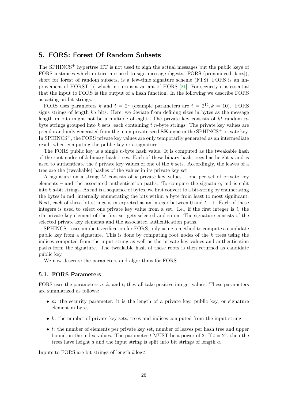### <span id="page-25-2"></span><span id="page-25-0"></span>5. FORS: Forest Of Random Subsets

The SPHINCS<sup>+</sup> hypertree HT is not used to sign the actual messages but the public keys of FORS instances which in turn are used to sign message digests. FORS (pronounced [fo:rs]), short for forest of random subsets, is a few-time signature scheme (FTS). FORS is an improvement of HORST [\[5\]](#page-59-2) which in turn is a variant of HORS [\[21\]](#page-60-3). For security it is essential that the input to FORS is the output of a hash function. In the following we describe FORS as acting on bit strings.

FORS uses parameters k and  $t = 2^a$  (example parameters are  $t = 2^{15}$ ,  $k = 10$ ). FORS signs strings of length ka bits. Here, we deviate from defining sizes in bytes as the message length in bits might not be a multiple of eight. The private key consists of kt random  $n$ byte strings grouped into  $k$  sets, each containing  $t$  *n*-byte strings. The private key values are pseudorandomly generated from the main private seed  $SK$ . seed in the SPHINCS<sup>+</sup> private key. In  $SPHINCS^+$ , the FORS private key values are only temporarily generated as an intermediate result when computing the public key or a signature.

The FORS public key is a single  $n$ -byte hash value. It is computed as the tweakable hash of the root nodes of k binary hash trees. Each of these binary hash trees has height a and is used to authenticate the  $t$  private key values of one of the  $k$  sets. Accordingly, the leaves of a tree are the (tweakable) hashes of the values in its private key set.

A signature on a string M consists of k private key values – one per set of private key elements – and the associated authentication paths. To compute the signature, md is split into  $k a$ -bit strings. As md is a sequence of bytes, we first convert to a bit-string by enumerating the bytes in md, internally enumerating the bits within a byte from least to most significant. Next, each of these bit strings is interpreted as an integer between 0 and  $t-1$ . Each of these integers is used to select one private key value from a set. I.e., if the first integer is  $i$ , the ith private key element of the first set gets selected and so on. The signature consists of the selected private key elements and the associated authentication paths.

 $SPHINCS<sup>+</sup>$  uses implicit verification for FORS, only using a method to compute a candidate public key from a signature. This is done by computing root nodes of the k trees using the indices computed from the input string as well as the private key values and authentication paths form the signature. The tweakable hash of these roots is then returned as candidate public key.

We now describe the parameters and algorithms for FORS.

#### <span id="page-25-1"></span>5.1. FORS Parameters

FORS uses the parameters  $n, k$ , and  $t$ ; they all take positive integer values. These parameters are summarized as follows:

- $n:$  the security parameter; it is the length of a private key, public key, or signature element in bytes.
- $k$ : the number of private key sets, trees and indices computed from the input string.
- $\bullet$  t: the number of elements per private key set, number of leaves per hash tree and upper bound on the index values. The parameter t MUST be a power of 2. If  $t = 2<sup>a</sup>$ , then the trees have height a and the input string is split into bit strings of length a.

Inputs to FORS are bit strings of length  $k \log t$ .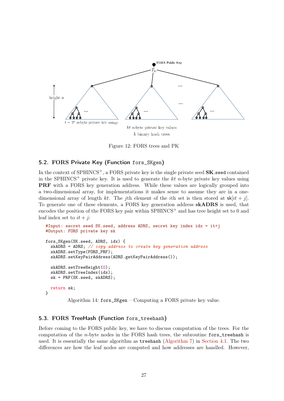

Figure 12: FORS trees and PK

### <span id="page-26-0"></span>5.2. FORS Private Key (Function fors\_SKgen)

In the context of  $SPHINCS^+$ , a FORS private key is the single private seed  $SK.$ seed contained in the SPHINCS<sup>+</sup> private key. It is used to generate the kt n-byte private key values using PRF with a FORS key generation address. While these values are logically grouped into a two-dimensional array, for implementations it makes sense to assume they are in a onedimensional array of length kt. The jth element of the ith set is then stored at  $sk[i t + j]$ . To generate one of these elements, a FORS key generation address skADRS is used, that encodes the position of the FORS key pair within  $SPHINCS^+$  and has tree height set to 0 and leaf index set to  $it + i$ :

```
#Input: secret seed SK.seed, address ADRS, secret key index idx = it+j
#Output: FORS private key sk
fors_SKgen(SK.seed, ADRS, idx) {
 skADRS = ADRS; // copy address to create key generation address
  skADRS.setType(FORS_PRF);
 skADRS.setKeyPairAddress(ADRS.getKeyPairAddress());
 skADRS.setTreeHeight(0);
  skADRS.setTreeIndex(idx);
 sk = PRF(SK.seed, skADRS);
  return sk;
}
```
Algorithm 14: fors\_SKgen – Computing a FORS private key value.

### <span id="page-26-1"></span>5.3. FORS TreeHash (Function fors\_treehash)

Before coming to the FORS public key, we have to discuss computation of the trees. For the computation of the *n*-byte nodes in the FORS hash trees, the subroutine fors\_treehash is used. It is essentially the same algorithm as treehash [\(Algorithm 7\)](#page-19-1) in [Section 4.1.](#page-18-1) The two differences are how the leaf nodes are computed and how addresses are handled. However,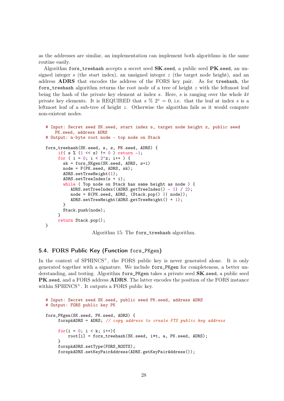as the addresses are similar, an implementation can implement both algorithms in the same routine easily.

Algorithm fors\_treehash accepts a secret seed  $SK.$ seed, a public seed  $PK.$ seed, an unsigned integer s (the start index), an unsigned integer  $z$  (the target node height), and an address ADRS that encodes the address of the FORS key pair. As for treehash, the fors\_treehash algorithm returns the root node of a tree of height  $z$  with the leftmost leaf being the hash of the private key element at index s. Here, s is ranging over the whole  $kt$ private key elements. It is REQUIRED that  $s \frac{6}{2} 2^z = 0$ , i.e. that the leaf at index s is a leftmost leaf of a sub-tree of height z. Otherwise the algorithm fails as it would compute non-existent nodes.

```
# Input: Secret seed SK.seed, start index s, target node height z, public seed
   PK.seed, address ADRS
# Output: n-byte root node - top node on Stack
fors_treehash(SK.seed, s, z, PK.seed, ADRS) {
     if( s % (1 \ll z) != 0 ) return -1;
     for ( i = 0; i < 2^z; i++ ) {
       sk = fors_SKgen(SK.seed, ADRS, s+i)
       node = F(PK.\text{seed}, ADRS, sk);ADRS.setTreeHeight(1);
       ADRS.setTreeIndex(s + i);
       while ( Top node on Stack has same height as node ) {
          ADRS.setTreeIndex((ADRS.getTreeIndex() - 1) / 2);
          node = H(PK.seed, ADRS, (Stack.pop() || node));
          ADRS.setTreeHeight(ADRS.getTreeHeight() + 1);
       }
       Stack.push(node);
     }
     return Stack.pop();
}
```
Algorithm 15: The fors\_treehash algorithm.

### <span id="page-27-0"></span>5.4. FORS Public Key (Function fors\_PKgen)

In the context of SPHINCS<sup>+</sup>, the FORS public key is never generated alone. It is only generated together with a signature. We include fors\_PKgen for completeness, a better understanding, and testing. Algorithm fors\_PKgen takes a private seed SK seed, a public seed PK.seed, and a FORS address ADRS. The latter encodes the position of the FORS instance within  $SPHINCS^+$ . It outputs a FORS public key.

```
# Input: Secret seed SK.seed, public seed PK.seed, address ADRS
# Output: FORS public key PK
fors_PKgen(SK.seed, PK.seed, ADRS) {
    forspkADRS = ADRS; // copy address to create FTS public key address
    for(i = 0; i < k; i++){
         root[i] = fors_treehash(SK.seed, i*t, a, PK.seed, ADRS);
    }
    forspkADRS.setType(FORS_ROOTS);
    forspkADRS.setKeyPairAddress(ADRS.getKeyPairAddress());
```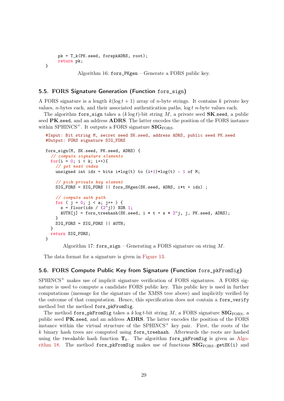```
pk = T_k(PK.seed, forspkADRS, root);
     return pk;
}
```
Algorithm 16: fors\_PKgen – Generate a FORS public key.

### <span id="page-28-0"></span>5.5. FORS Signature Generation (Function fors\_sign)

A FORS signature is a length  $k(\log t + 1)$  array of *n*-byte strings. It contains k private key values, *n*-bytes each, and their associated authentication paths,  $\log t$  *n*-byte values each.

The algorithm fors sign takes a  $(k \log t)$ -bit string M, a private seed **SK**.seed, a public seed PK.seed, and an address ADRS. The latter encodes the position of the FORS instance within SPHINCS<sup>+</sup>. It outputs a FORS signature  $\text{SIG}_{\text{FORS}}$ .

```
#Input: Bit string M, secret seed SK.seed, address ADRS, public seed PK.seed
#Output: FORS signature SIG_FORS
fors_sign(M, SK.seed, PK.seed, ADRS) {
  // compute signature elements
 for(i = 0; i < k; i++){
    // get next index
    unsigned int idx = bits i * log(t) to (i+1) * log(t) - 1 of M;
    // pick private key element
    SIG_FORS = SIG_FORS || fors_SKgen(SK.seed, ADRS, i*t + idx) ;
    // compute auth path
    for ( j = 0; j < a; j^{++} ) {
      s = floor(idx / (2^{2}i)) XOR 1;
      AUTH[j] = fors_treehash(SK.seed, i * t + s * 2^j, j, PK.seed, ADRS);
    }
    SIG_FORS = SIG_FORS || AUTH;
 }
  return SIG_FORS;
}
```
Algorithm 17: fors\_sign – Generating a FORS signature on string  $M$ .

The data format for a signature is given in [Figure 13.](#page-29-0)

### <span id="page-28-1"></span>5.6. FORS Compute Public Key from Signature (Function fors\_pkFromSig)

 $SPHINCS<sup>+</sup>$  makes use of implicit signature verification of FORS signatures. A FORS signature is used to compute a candidate FORS public key. This public key is used in further computations (message for the signature of the XMSS tree above) and implicitly verified by the outcome of that computation. Hence, this specification does not contain a fors\_verify method but the method fors\_pkFromSig.

The method fors\_pkFromSig takes a k log t-bit string M, a FORS signature  $\text{SIGF}$ <sub>FORS</sub>, a public seed PK.seed, and an address ADRS. The latter encodes the position of the FORS instance within the virtual structure of the  $SPHINCS<sup>+</sup>$  key pair. First, the roots of the k binary hash trees are computed using fors\_treehash. Afterwards the roots are hashed using the tweakable hash function  $T_k$ . The algorithm fors\_pkFromSig is given as [Algo](#page-29-1)[rithm 18.](#page-29-1) The method fors\_pkFromSig makes use of functions  $SIG_{FORS}.getSK(i)$  and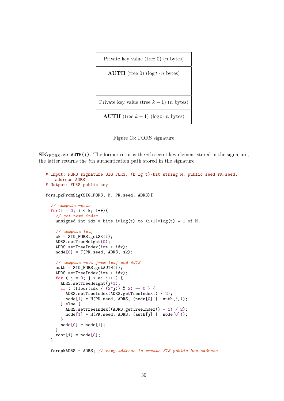```
Private key value (tree 0) (n bytes)
    AUTH (tree 0) (\log t \cdot n bytes)
                    ...
Private key value (tree k - 1) (n bytes)
  AUTH (tree k-1) (log t \cdot n bytes)
```
<span id="page-29-0"></span>Figure 13: FORS signature

 $SIG<sub>FORS</sub>.getAUTH(i)$ . The former returns the *i*th secret key element stored in the signature, the latter returns the ith authentication path stored in the signature.

```
# Input: FORS signature SIG_FORS, (k lg t)-bit string M, public seed PK.seed,
   address ADRS
# Output: FORS public key
fors_pkFromSig(SIG_FORS, M, PK.seed, ADRS){
  // compute roots
 for(i = 0; i < k; i++){
    // get next index
   unsigned int idx = bits i * log(t) to (i+1) * log(t) - 1 of M;
    // compute leaf
   sk = SIG_FORS.getSK(i);ADRS.setTreeHeight(0);
   ADRS.setTreeIndex(i*t + idx);
   node[0] = F(PK.read, ADRS, sk);// compute root from leaf and AUTH
   auth = SIG_FORS.getAUTH(i);ADRS.setTreeIndex(i*t + idx);
   for ( j = 0; j < a; j^{++} ) {
      ADRS.setTreeHeight(j+1);
      if ( (floor_idx / (2^j)) % 2 = 0 ) {
        ADRS.setTreeIndex(ADRS.getTreeIndex() / 2);
        node[1] = H(PK.sleepd, ADRS, (node[0] || author[j]));
      } else {
        ADRS.setTreeIndex((ADRS.getTreeIndex() - 1) / 2);
        node[1] = H(PK.sleeped, ADRS, (auth[j] || node[0]));
      }
     node[0] = node[1];}
   root[i] = node[0];}
```

```
forspkADRS = ADRS; // copy address to create FTS public key address
```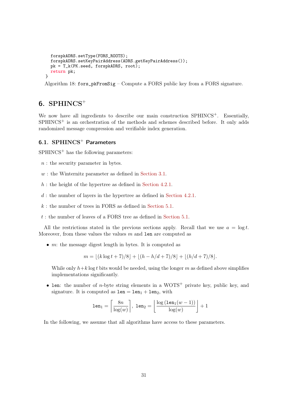```
forspkADRS.setType(FORS_ROOTS);
  forspkADRS.setKeyPairAddress(ADRS.getKeyPairAddress());
  pk = T_k(PK.\text{seed}, \text{forspkADRS}, \text{root});return pk;
}
```
Algorithm 18: fors\_pkFromSig – Compute a FORS public key from a FORS signature.

## <span id="page-30-0"></span>6.  $SPHINCS^+$

We now have all ingredients to describe our main construction SPHINCS<sup>+</sup>. Essentially,  $SPHINCS<sup>+</sup>$  is an orchestration of the methods and schemes described before. It only adds randomized message compression and verifiable index generation.

### <span id="page-30-1"></span>6.1. SPHINCS<sup>+</sup> Parameters

 $SPHINCS<sup>+</sup>$  has the following parameters:

- $n:$  the security parameter in bytes.
- $w:$  the Winternitz parameter as defined in [Section 3.1.](#page-13-1)
- $h$ : the height of the hypertree as defined in [Section 4.2.1.](#page-22-1)
- $d$ : the number of layers in the hypertree as defined in [Section 4.2.1.](#page-22-1)
- $k$ : the number of trees in FORS as defined in [Section 5.1.](#page-25-1)
- $t:$  the number of leaves of a FORS tree as defined in [Section 5.1.](#page-25-1)

All the restrictions stated in the previous sections apply. Recall that we use  $a = \log t$ . Moreover, from these values the values  $m$  and len are computed as

 $\bullet$  m: the message digest length in bytes. It is computed as

 $m = |(k \log t + 7)/8| + |(h - h/d + 7)/8| + |(h/d + 7)/8|$ .

While only  $h+k \log t$  bits would be needed, using the longer m as defined above simplifies implementations significantly.

• len: the number of *n*-byte string elements in a WOTS<sup>+</sup> private key, public key, and signature. It is computed as  $len = len_1 + len_2$ , with

$$
\texttt{len}_1 = \left\lceil \frac{8n}{\log(w)} \right\rceil, \ \texttt{len}_2 = \left\lfloor \frac{\log\left(\texttt{len}_1(w-1)\right)}{\log(w)} \right\rfloor + 1
$$

In the following, we assume that all algorithms have access to these parameters.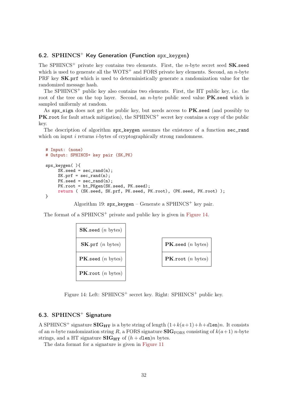### <span id="page-31-0"></span>6.2.  $SPHINCS<sup>+</sup>$  Key Generation (Function spx keygen)

The SPHINCS<sup>+</sup> private key contains two elements. First, the *n*-byte secret seed  $SK.$ seed which is used to generate all the  $WOTS^+$  and FORS private key elements. Second, an *n*-byte PRF key SK.prf which is used to deterministically generate a randomization value for the randomized message hash.

The SPHINCS<sup> $+$ </sup> public key also contains two elements. First, the HT public key, i.e. the root of the tree on the top layer. Second, an *n*-byte public seed value  $PK$ . seed which is sampled uniformly at random.

As  $spx_s$  sign does not get the public key, but needs access to  $PK$ . seed (and possibly to **PK.root** for fault attack mitigation), the SPHINCS<sup>+</sup> secret key contains a copy of the public key.

The description of algorithm spx\_keygen assumes the existence of a function sec\_rand which on input  $i$  returns  $i$ -bytes of cryptographically strong randomness.

```
# Input: (none)
# Output: SPHINCS+ key pair (SK,PK)
spx_keygen( ){
     SK.\text{seed} = \text{sec\_rand}(n);SK.prf = sec\_rand(n);PK.\,seed = sec\_rand(n);PK.root = ht_PKgen(SK.seed, PK.seed);
     return ( (SK.seed, SK.prf, PK.seed, PK.root), (PK.seed, PK.root) );
}
```
Algorithm 19:  $spx_{\text{keygen}} -$  Generate a SPHINCS<sup>+</sup> key pair.

The format of a SPHINCS<sup>+</sup> private and public key is given in [Figure 14.](#page-31-2)



<span id="page-31-2"></span>Figure 14: Left:  $SPHINCS^+$  secret key. Right:  $SPHINCS^+$  public key.

### <span id="page-31-1"></span>6.3.  $SPHINCS$ <sup>+</sup> Signature

A SPHINCS<sup>+</sup> signature **SIG<sub>HT</sub>** is a byte string of length  $(1+k(a+1)+h+d$ len)n. It consists of an n-byte randomization string R, a FORS signature  $\text{SIG}_{\text{FORS}}$  consisting of  $k(a+1)$  n-byte strings, and a HT signature  $\text{SIG}_{\text{HT}}$  of  $(h + d \text{len})n$  bytes.

The data format for a signature is given in [Figure 11](#page-23-2)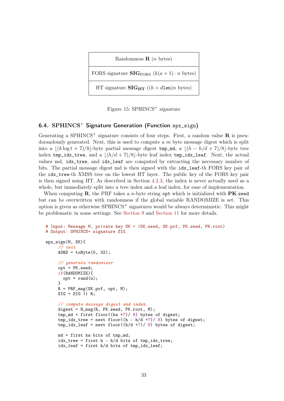Randomness  $\mathbf{R}$  (*n* bytes)

FORS signature  $\text{SIG}_{\text{FORS}}$   $(k(a + 1) \cdot n \text{ bytes})$ 

HT signature  $\text{SIG}_{\text{HT}}$   $((h + d \text{len})n$  bytes)

Figure 15:  $SPHINCS$ <sup>+</sup> signature

### <span id="page-32-0"></span>6.4. SPHINCS<sup>+</sup> Signature Generation (Function  $spr\_sign$ )

Generating a SPHINCS<sup>+</sup> signature consists of four steps. First, a random value **R** is pseudorandomly generated. Next, this is used to compute a  $m$  byte message digest which is split into a  $\lfloor (k \log t + 7)/8 \rfloor$ -byte partial message digest tmp\_md, a  $\lfloor (h - h/d + 7)/8 \rfloor$ -byte tree index  $tmp_idx\_tree$ , and a  $\lfloor (h/d + 7)/8 \rfloor$ -byte leaf index  $tmp_idx\_leaf$ . Next, the actual values md, idx\_tree, and idx\_leaf are computed by extracting the necessary number of bits. The partial message digest md is then signed with the idx\_leaf-th FORS key pair of the idx\_tree-th XMSS tree on the lowest HT layer. The public key of the FORS key pair is then signed using HT. As described in Section [4.2.3,](#page-23-0) the index is never actually used as a whole, but immediately split into a tree index and a leaf index, for ease of implementation.

When computing  $\mathbf{R}$ , the PRF takes a *n*-byte string opt which is initialized with **PK**.seed but can be overwritten with randomness if the global variable RANDOMIZE is set. This option is given as otherwise  $SPHINCS^+$  signatures would be always deterministic. This might be problematic in some settings. See [Section 9](#page-45-1) and [Section 11](#page-57-0) for more details.

```
# Input: Message M, private key SK = (SK.seed, SK.prf, PK.seed, PK.root)
# Output: SPHINCS+ signature SIG
spx_sign(M, SK){
     // init
     ADRS = toByte(0, 32);// generate randomizer
     opt = PK.seed;
     if(RANDOMIZE){
       opt = rand(n);}
     R = PRF_msg(SK.rprf, opt, M);SIG = SIG || R;// compute message digest and index
     digest = H_msg(R, PK. seed, PK. root, M);tmp\_md = first floor((ka + 7) / 8) bytes of digest;tmp\_idx\_tree = next floor((h - h/d + 7)/8) bytes of digest;
     tmp\_idx\_leaf = next floor((h/d + 7)/8) bytes of digest;
     md = first ka bits of tmp_md;
     idx_tree = first h - h/d bits of tmp_idx_tree;
     idx_leaf = first h/d bits of tmp_idx_leaf;
```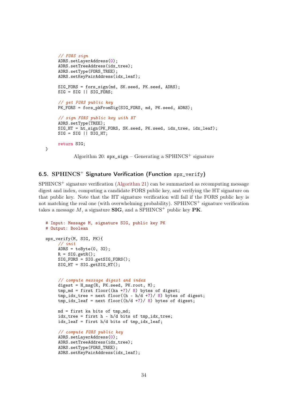```
// FORS sign
ADRS.setLayerAddress(0);
ADRS.setTreeAddress(idx_tree);
ADRS.setType(FORS_TREE);
ADRS.setKeyPairAddress(idx_leaf);
SIG FORS = fors sign(md, SK.seed, PK.seed, ADRS);
SIG = SIG || SIG_FORS;// get FORS public key
PK_FORS = fors_pkFromSig(SIG_FORS, md, PK.seed, ADRS);
// sign FORS public key with HT
ADRS.setType(TREE);
SIG_HT = ht_sign(PK_FORS, SK.seed, PK.seed, idx_tree, idx_leaf);
SIG = SIG || SIG_HT;return SIG;
       Algorithm 20: \text{spx}\_\text{sign} – Generating a SPHINCS<sup>+</sup> signature
```
### <span id="page-33-0"></span>6.5. SPHINCS<sup>+</sup> Signature Verification (Function spx\_verify)

}

 $SPHINCS<sup>+</sup>$  signature verification [\(Algorithm 21\)](#page-33-1) can be summarized as recomputing message digest and index, computing a candidate FORS public key, and verifying the HT signature on that public key. Note that the HT signature verification will fail if the FORS public key is not matching the real one (with overwhelming probability).  $SPHINCS^+$  signature verification takes a message M, a signature  $\text{SIG}$ , and a SPHINCS<sup>+</sup> public key PK.

```
# Input: Message M, signature SIG, public key PK
# Output: Boolean
spx_verify(M, SIG, PK){
     // init
     ADRS = toByte(0, 32);
     R = SIG.getR();
     SIG\ FORS = SIG.getSIG\ FORS();
     SIG_HT = SIG.getSIG_HT();
     // compute message digest and index
     digest = H_msg(R, PK. seed, PK.root, M);tmp\_md = first floor((ka +7)/ 8) bytes of digest;tmp\_idx\_tree = next floor((h - h/d +7)/ 8) bytes of digest;
     tmp\_idx\_leaf = next floor((h/d + 7)/8) bytes of digest;
     md = first ka bits of tmp_md;
     idx_tree = first h - h/d bits of tmp_idx_tree;
     idx_leaf = first h/d bits of tmp_idx_leaf;
     // compute FORS public key
     ADRS.setLayerAddress(0);
     ADRS.setTreeAddress(idx_tree);
     ADRS.setType(FORS_TREE);
     ADRS.setKeyPairAddress(idx_leaf);
```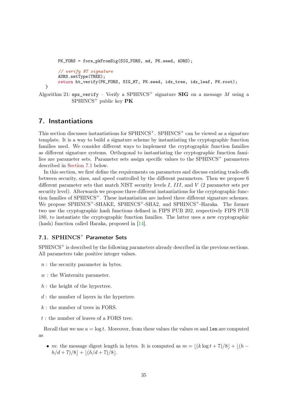```
PK_FORS = fors_pkFromSig(SIG_FORS, md, PK.seed, ADRS);
     // verify HT signature
    ADRS.setType(TREE);
    return ht_verify(PK_FORS, SIG_HT, PK.seed, idx_tree, idx_leaf, PK.root);
}
```
Algorithm 21:  $\text{spx\_verify} - \text{Verify a SPHINCS}^+$  signature **SIG** on a message M using a  $SPHINCS^+$  public key  $PK$ 

### <span id="page-34-0"></span>7. Instantiations

This section discusses instantiations for  $SPHINCS^+$ .  $SPHINCS^+$  can be viewed as a signature template. It is a way to build a signature scheme by instantiating the cryptographic function families used. We consider different ways to implement the cryptographic function families as different signature systems. Orthogonal to instantiating the cryptographic function families are parameter sets. Parameter sets assign specific values to the  $SPHINCS<sup>+</sup>$  parameters described in [Section 7.1](#page-34-1) below.

In this section, we first define the requirements on parameters and discuss existing trade-offs between security, sizes, and speed controlled by the different parameters. Then we propose 6 different parameter sets that match NIST security levels I, III, and V (2 parameter sets per security level). Afterwards we propose three different instantiations for the cryptographic function families of SPHINCS<sup>+</sup>. These instantiation are indeed three different signature schemes. We propose SPHINCS<sup>+</sup>-SHAKE, SPHINCS<sup>+</sup>-SHA2, and SPHINCS<sup>+</sup>-Haraka. The former two use the cryptographic hash functions defined in FIPS PUB 202, respectively FIPS PUB 180, to instantiate the cryptographic function families. The latter uses a new cryptographic (hash) function called Haraka, proposed in [\[14\]](#page-60-4).

### <span id="page-34-1"></span>7.1. SPHINCS<sup>+</sup> Parameter Sets

 $SPHINCS<sup>+</sup>$  is described by the following parameters already described in the previous sections. All parameters take positive integer values.

- n : the security parameter in bytes.
- $w:$  the Winternitz parameter.
- $\boldsymbol{h}$  : the height of the hypertree.
- $d$ : the number of layers in the hypertree.
- $k:$  the number of trees in FORS.
- $t:$  the number of leaves of a FORS tree.

Recall that we use  $a = \log t$ . Moreover, from these values the values m and len are computed as

• m: the message digest length in bytes. It is computed as  $m = |(k \log t + 7)/8| + |(h$  $h/d + 7)/8$  +  $\lfloor (h/d + 7)/8 \rfloor$ .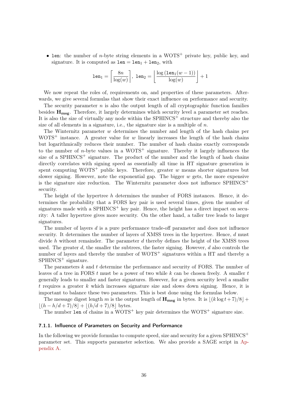• len: the number of *n*-byte string elements in a WOTS<sup>+</sup> private key, public key, and signature. It is computed as  $1en = len_1 + len_2$ , with

$$
\texttt{len}_1 = \left\lceil \frac{8n}{\log(w)} \right\rceil, \; \texttt{len}_2 = \left\lfloor \frac{\log\left(\texttt{len}_1(w-1)\right)}{\log(w)} \right\rfloor + 1
$$

We now repeat the roles of, requirements on, and properties of these parameters. Afterwards, we give several formulas that show their exact influence on performance and security.

The security parameter  $n$  is also the output length of all cryptographic function families besides  $\mathbf{H}_{\text{mse}}$ . Therefore, it largely determines which security level a parameter set reaches. It is also the size of virtually any node within the  $SPHINCS<sup>+</sup>$  structure and thereby also the size of all elements in a signature, i.e., the signature size is a multiple of  $n$ .

The Winternitz parameter  $w$  determines the number and length of the hash chains per WOTS<sup>+</sup> instance. A greater value for w linearly increases the length of the hash chains but logarithmically reduces their number. The number of hash chains exactly corresponds to the number of *n*-byte values in a  $WOTS^+$  signature. Thereby it largely influences the size of a SPHINCS<sup>+</sup> signature. The product of the number and the length of hash chains directly correlates with signing speed as essentially all time in HT signature generation is spent computing WOTS<sup>+</sup> public keys. Therefore, greater w means shorter signatures but slower signing. However, note the exponential gap. The bigger  $w$  gets, the more expensive is the signature size reduction. The Winternitz parameter does not influence  $SPHINCS^+$ security.

The height of the hypertree h determines the number of FORS instances. Hence, it determines the probability that a FORS key pair is used several times, given the number of signatures made with a SPHINCS<sup>+</sup> key pair. Hence, the height has a direct impact on security: A taller hypertree gives more security. On the other hand, a taller tree leads to larger signatures.

The number of layers d is a pure performance trade-off parameter and does not influence security. It determines the number of layers of XMSS trees in the hypertree. Hence, d must divide h without remainder. The parameter  $d$  thereby defines the height of the XMSS trees used. The greater  $d$ , the smaller the subtrees, the faster signing. However,  $d$  also controls the number of layers and thereby the number of WOTS<sup>+</sup> signatures within a HT and thereby a SPHINCS<sup>+</sup> signature.

The parameters  $k$  and  $t$  determine the performance and security of FORS. The number of leaves of a tree in FORS  $t$  must be a power of two while  $k$  can be chosen freely. A smaller  $t$ generally leads to smaller and faster signatures. However, for a given security level a smaller t requires a greater  $k$  which increases signature size and slows down signing. Hence, it is important to balance these two parameters. This is best done using the formulas below.

The message digest length m is the output length of  $\mathbf{H_{msg}}$  in bytes. It is  $|(k \log t + 7)/8| +$  $|(h - h/d + 7)/8| + |(h/d + 7)/8|$  bytes.

The number  $1$ en of chains in a WOTS<sup>+</sup> key pair determines the WOTS<sup>+</sup> signature size.

#### <span id="page-35-0"></span>7.1.1. Influence of Parameters on Security and Performance

In the following we provide formulas to compute speed, size and security for a given  $SPHINCS^+$ parameter set. This supports parameter selection. We also provide a SAGE script in [Ap](#page-61-0)[pendix A.](#page-61-0)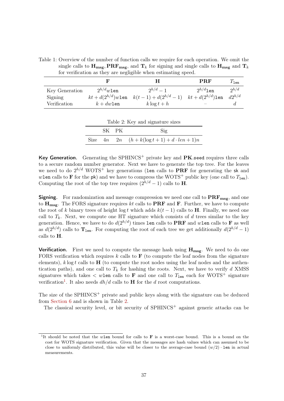Table 1: Overview of the number of function calls we require for each operation. We omit the single calls to  $H_{\text{msg}}, PRF_{\text{msg}},$  and  $T_k$  for signing and single calls to  $H_{\text{msg}}$  and  $T_k$ for verification as they are negligible when estimating speed.

|                |                | н                                                                      | <b>PRF</b>    | $T_{1en}$      |
|----------------|----------------|------------------------------------------------------------------------|---------------|----------------|
| Key Generation | $2^{h/d}w$ len | $2^{h/d}-1$                                                            | $2^{h/d}$ len | $\partial h/d$ |
| Signing        |                | $kt + d(2^{h/d})w$ len $k(t-1) + d(2^{h/d} - 1)$ $kt + d(2^{h/d})$ len |               | $d2^{h/d}$     |
| Verification   | $k + dw$ len   | $k \log t + h$                                                         |               |                |

| Table 2: Key and signature sizes |  |       |                                                |
|----------------------------------|--|-------|------------------------------------------------|
|                                  |  | SK PK | $\mathrm{Sig}$                                 |
|                                  |  |       | Size $4n$ $2n$ $(h+k(\log t+1)+d\cdot len+1)n$ |

<span id="page-36-1"></span>Table 2: Key and signature sizes

Key Generation. Generating the SPHINCS<sup>+</sup> private key and  $PK$  seed requires three calls to a secure random number generator. Next we have to generate the top tree. For the leaves we need to do  $2^{h/d}$  WOTS<sup>+</sup> key generations (len calls to PRF for generating the sk and wlen calls to **F** for the pk) and we have to compress the WOTS<sup>+</sup> public key (one call to  $T_{len}$ ). Computing the root of the top tree requires  $(2^{h/d} - 1)$  calls to **H**.

**Signing.** For randomization and message compression we need one call to  $\mathbf{PRF}_{\mathbf{mse}}$ , and one to  $H_{\text{msg}}$ . The FORS signature requires kt calls to **PRF** and **F**. Further, we have to compute the root of k binary trees of height log t which adds  $k(t-1)$  calls to **H**. Finally, we need one call to  $T_k$ . Next, we compute one HT signature which consists of d trees similar to the key generation. Hence, we have to do  $d(2^{h/d})$  times len calls to **PRF** and wlen calls to **F** as well as  $d(2^{h/d})$  calls to  $\mathbf{T}_{len}$ . For computing the root of each tree we get additionally  $d(2^{h/d}-1)$ calls to H.

Verification. First we need to compute the message hash using  $H_{\text{msg}}$ . We need to do one FORS verification which requires k calls to  $\bf{F}$  (to compute the leaf nodes from the signature elements),  $k \log t$  calls to  $H$  (to compute the root nodes using the leaf nodes and the authentication paths), and one call to  $T_k$  for hashing the roots. Next, we have to verify d XMSS signatures which takes  $\langle$  wlen calls to **F** and one call to  $T_{\text{len}}$  each for WOTS<sup>+</sup> signature verification<sup>[1](#page-36-0)</sup>. It also needs  $dh/d$  calls to **H** for the d root computations.

The size of the SPHINCS<sup>+</sup> private and public keys along with the signature can be deduced from [Section 6](#page-30-0) and is shown in Table [2.](#page-36-1)

The classical security level, or bit security of SPHINCS<sup>+</sup> against generic attacks can be

<span id="page-36-0"></span><sup>&</sup>lt;sup>1</sup>It should be noted that the wlen bound for calls to  $\bf{F}$  is a worst-case bound. This is a bound on the cost for WOTS signature verification. Given that the messages are hash values which can assumed to be close to uniformly distributed, this value will be closer to the average-case bound  $(w/2) \cdot$  len in actual measurements.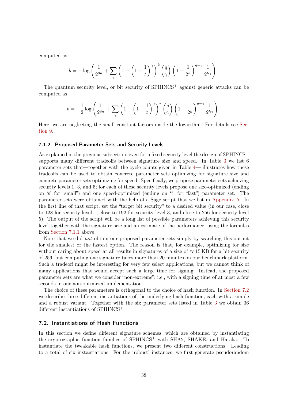computed as

$$
b = -\log\left(\frac{1}{2^{8n}} + \sum_{\gamma} \left(1 - \left(1 - \frac{1}{t}\right)^{\gamma}\right)^k {q \choose \gamma} \left(1 - \frac{1}{2^h}\right)^{q - \gamma} \frac{1}{2^{h\gamma}}\right).
$$

The quantum security level, or bit security of  $SPHINCS<sup>+</sup>$  against generic attacks can be computed as

$$
b = -\frac{1}{2}\log\left(\frac{1}{2^{8n}} + \sum_{\gamma} \left(1 - \left(1 - \frac{1}{t}\right)^{\gamma}\right)^k {q \choose \gamma} \left(1 - \frac{1}{2^h}\right)^{q - \gamma} \frac{1}{2^{h\gamma}}\right).
$$

Here, we are neglecting the small constant factors inside the logarithm. For details see [Sec](#page-45-1)[tion 9.](#page-45-1)

#### <span id="page-37-0"></span>7.1.2. Proposed Parameter Sets and Security Levels

As explained in the previous subsection, even for a fixed security level the design of  $SPHINCS^+$ supports many different tradeoffs between signature size and speed. In Table [3](#page-38-1) we list 6 parameter sets that—together with the cycle counts given in Table [4—](#page-55-0) illustrates how these tradeoffs can be used to obtain concrete parameter sets optimizing for signature size and concrete parameter sets optimizing for speed. Specifically, we propose parameter sets achieving security levels 1, 3, and 5; for each of these security levels propose one size-optimized (ending on 's' for "small") and one speed-optimized (ending on 'f' for "fast") parameter set. The parameter sets were obtained with the help of a Sage script that we list in [Appendix A.](#page-61-0) In the first line of that script, set the "target bit security" to a desired value (in our case, close to 128 for security level 1, close to 192 for security level 3, and close to 256 for security level 5). The output of the script will be a long list of possible parameters achieving this security level together with the signature size and an estimate of the performance, using the formulas from [Section 7.1.1](#page-35-0) above.

Note that we did not obtain our proposed parameter sets simply by searching this output for the smallest or the fastest option. The reason is that, for example, optimizing for size without caring about speed at all results in signatures of a size of  $\approx 15 \text{ KB}$  for a bit security of 256, but computing one signature takes more than 20 minutes on our benchmark platform. Such a tradeoff might be interesting for very few select applications, but we cannot think of many applications that would accept such a large time for signing. Instead, the proposed parameter sets are what we consider "non-extreme"; i.e., with a signing time of at most a few seconds in our non-optimized implementation.

The choice of these parameters is orthogonal to the choice of hash function. In [Section 7.2](#page-37-1) we describe three different instantiations of the underlying hash function, each with a simple and a robust variant. Together with the six parameter sets listed in Table [3](#page-38-1) we obtain 36 different instantiations of SPHINCS<sup>+</sup>.

#### <span id="page-37-1"></span>7.2. Instantiations of Hash Functions

In this section we define different signature schemes, which are obtained by instantiating the cryptographic function families of SPHINCS<sup>+</sup> with SHA2, SHAKE, and Haraka. To instantiate the tweakable hash functions, we present two different constructions. Leading to a total of six instantiations. For the 'robust' instances, we first generate pseudorandom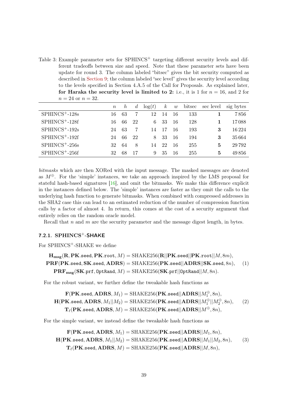<span id="page-38-2"></span><span id="page-38-1"></span>Table 3: Example parameter sets for SPHINCS<sup>+</sup> targeting different security levels and different tradeoffs between size and speed. Note that these parameter sets have been update for round 3. The column labeled "bitsec" gives the bit security computed as described in [Section 9;](#page-45-1) the column labeled "sec level" gives the security level according to the levels specified in Section 4.A.5 of the Call for Proposals. As explained later, for Haraka the security level is limited to 2: i.e., it is 1 for  $n = 16$ , and 2 for  $n = 24$  or  $n = 32$ .

|                    | $\,n$ | $\hbar$ | $\mathfrak{a}$ | $\log(t)$ | $\kappa$ | w  | bitsec | sec level | sig bytes |
|--------------------|-------|---------|----------------|-----------|----------|----|--------|-----------|-----------|
| $SPHINCS^+ - 128s$ | 16    | 63      |                | 12        | 14       | 16 | 133    |           | 7856      |
| $SPHINCS+-128f$    | 16    | 66      | 22             | 6         | 33       | 16 | 128    |           | 17088     |
| $SPHINCS^+ - 192s$ | 24    | 63      |                | 14        | 17       | 16 | 193    | 3         | 16224     |
| $SPHINCS+-192f$    | 24    | 66      | 22             | 8         | 33       | 16 | 194    | 3         | 35664     |
| $SPHINCS^+ - 256s$ | 32    | 64      | 8              | 14        | 22       | 16 | 255    | 5         | 29792     |
| $SPHINCS+ - 256f$  | 32    | 68      | 17             | 9         | 35       | 16 | 255    | 5         | 49856     |

bitmasks which are then XORed with the input message. The masked messages are denoted as  $M^{\oplus}$ . For the 'simple' instances, we take an approach inspired by the LMS proposal for stateful hash-based signatures [\[16\]](#page-60-2), and omit the bitmasks. We make this difference explicit in the instances defined below. The 'simple' instances are faster as they omit the calls to the underlying hash function to generate bitmasks. When combined with compressed addresses in the SHA2 case this can lead to an estimated reduction of the number of compression function calls by a factor of almost 4. In return, this comes at the cost of a security argument that entirely relies on the random oracle model.

Recall that  $n$  and  $m$  are the security parameter and the message digest length, in bytes.

### <span id="page-38-0"></span>7.2.1. SPHINCS<sup>+</sup>-SHAKE

For SPHINCS<sup>+</sup>-SHAKE we define

```
\mathbf{H}_{\text{msg}}(\mathbf{R}, \textbf{PK}.\texttt{seed}, \textbf{PK}.\texttt{root}, M) = \text{SHAKE256}(\mathbf{R}||\textbf{PK}.\texttt{seed}||\textbf{PK}.\texttt{root}||M, 8m),\text{PRF}(\text{PK}.\text{seed}, \text{SK}.\text{seed}, \text{ADRS}) = \text{SHAKE256}(\text{PK}.\text{seed}||\text{ADRS}||\text{SK}.\text{seed}, 8n),\mathbf{PRF}_{\text{msg}}(\mathbf{SK}.\text{prf},\text{OptRand},M) = \text{SHAKE256}(\mathbf{SK}.\text{prf}||\text{OptRand}||M,8n).(1)
```
For the robust variant, we further define the tweakable hash functions as

$$
\mathbf{F}(\mathbf{PK}.\mathtt{seed},\mathbf{ADRS},M_1) = \mathrm{SHAKE256}(\mathbf{PK}.\mathtt{seed}||\mathbf{ADRS}||M_1^{\oplus},8n),
$$
\n
$$
\mathbf{H}(\mathbf{PK}.\mathtt{seed},\mathbf{ADRS},M_1||M_2) = \mathrm{SHAKE256}(\mathbf{PK}.\mathtt{seed}||\mathbf{ADRS}||M_1^{\oplus}||M_2^{\oplus},8n),
$$
\n
$$
\mathbf{T}_{\ell}(\mathbf{PK}.\mathtt{seed},\mathbf{ADRS},M) = \mathrm{SHAKE256}(\mathbf{PK}.\mathtt{seed}||\mathbf{ADRS}||M^{\oplus},8n),
$$
\n(2)

For the simple variant, we instead define the tweakable hash functions as

$$
\mathbf{F}(\mathbf{PK}.\mathtt{seed},\mathbf{ADRS},M_1) = \mathrm{SHAKE256}(\mathbf{PK}.\mathtt{seed}||\mathbf{ADRS}||M_1,8n),\\ \mathbf{H}(\mathbf{PK}.\mathtt{seed},\mathbf{ADRS},M_1||M_2) = \mathrm{SHAKE256}(\mathbf{PK}.\mathtt{seed}||\mathbf{ADRS}||M_1||M_2,8n),\\ \mathbf{T}_{\ell}(\mathbf{PK}.\mathtt{seed},\mathbf{ADRS},M) = \mathrm{SHAKE256}(\mathbf{PK}.\mathtt{seed}||\mathbf{ADRS}||M,8n),
$$
 (3)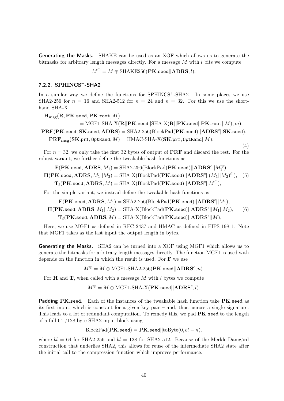Generating the Masks. SHAKE can be used as an XOF which allows us to generate the bitmasks for arbitrary length messages directly. For a message  $M$  with  $l$  bits we compute

 $M^{\oplus} = M \oplus \text{SHAKE256}(\textbf{PK}.\texttt{seed}||\textbf{ADRS}, l).$ 

#### <span id="page-39-0"></span>7.2.2. SPHINCS<sup>+</sup>-SHA2

In a similar way we define the functions for SPHINCS<sup>+</sup>-SHA2. In some places we use SHA2-256 for  $n = 16$  and SHA2-512 for  $n = 24$  and  $n = 32$ . For this we use the shorthand SHA-X.

 $\mathbf{H}_{\mathbf{msg}}(\mathbf{R}, \mathbf{PK}.\mathtt{seed}, \mathbf{PK}.\mathtt{root}, M)$ 

$$
= \text{MGF1-SHA-X}(\mathbf{R}||\mathbf{PK}.\mathtt{seed}||\mathrm{SHA-X}(\mathbf{R}||\mathbf{PK}.\mathtt{seed}||\mathbf{PK}.\mathtt{root}||M), m),
$$

 $\textbf{PRF}(\textbf{PK}.\texttt{seed}, \textbf{SK}.\texttt{seed}, \textbf{ADRS}) = \text{SHA2-256}(\text{BlockPad}(\textbf{PK}.\texttt{seed})||\textbf{ADRS}^c||\textbf{SK}.\texttt{seed}),$  $\mathbf{PRF}_{\text{msg}}(\mathbf{SK}.\text{prf},\text{OptRand},M) = \text{HMAC-SHA-X}(\mathbf{SK}.\text{prf},\text{OptRand}||M),$ 

(4)

For  $n = 32$ , we only take the first 32 bytes of output of **PRF** and discard the rest. For the robust variant, we further define the tweakable hash functions as

 $\mathbf{F}(\mathbf{PK}.\mathtt{seed}, \mathbf{ADRS}, M_1)=\mathrm{SHA2\text{-}256}(\mathrm{BlockPad}(\mathbf{PK}.\mathtt{seed})||\mathbf{ADRS}^c||M_1^{\oplus}),$ 

 $\mathbf{H}(\mathbf{PK}.\mathtt{seed}, \mathbf{ADRS}, M_1||M_2) = \mathrm{SHA\text{-}X}(\mathrm{BlockPad}(\mathbf{PK}.\mathtt{seed}) || \mathbf{ADRS}^c ||(M_1||M_2)^\oplus),$  $\mathbf{T}_{\ell}(\mathbf{PK}.\mathtt{seed}, \mathbf{ADRS}, M) = \mathrm{SHA\text{-}X}(\mathrm{BlockPad}(\mathbf{PK}.\mathtt{seed})||\mathbf{ADRS}^c||M^{\oplus}),$ (5)

For the simple variant, we instead define the tweakable hash functions as

 $\mathbf{F}(\mathbf{PK}.\mathtt{seed}, \mathbf{ADRS}, M_1) = \mathrm{SHA2\text{-}256}(\mathrm{BlockPad}(\mathbf{PK}.\mathtt{seed})||\mathbf{ADRS}^c||M_1),$ 

 $\mathbf{H}(\mathbf{PK}.\mathtt{seed}, \mathbf{ADRS}, M_1||M_2) = \mathrm{SHA\text{-}X}(\mathrm{BlockPad}(\mathbf{PK}.\mathtt{seed}) || \mathbf{ADRS}^c||M_1||M_2),$  $\mathbf{T}_{\ell}(\mathbf{PK}.\mathtt{seed}, \mathbf{ADRS}, M) = \mathrm{SHA\text{-}X}(\mathrm{BlockPad}(\mathbf{PK}.\mathtt{seed})||\mathbf{ADRS}^c||M),$ (6)

Here, we use MGF1 as defined in RFC 2437 and HMAC as defined in FIPS-198-1. Note that MGF1 takes as the last input the output length in bytes.

Generating the Masks. SHA2 can be turned into a XOF using MGF1 which allows us to generate the bitmasks for arbitrary length messages directly. The function MGF1 is used with depends on the function in which the result is used. For  $\bf{F}$  we use

 $M^{\oplus}=M\oplus\text{MGF1-SHA2-256}(\textbf{PK}.\texttt{seed}||\textbf{ADRS}^c,n).$ 

For **H** and **T**, when called with a message  $M$  with l bytes we compute

 $M^{\oplus} = M \oplus \text{MGF1-SHA-X}(\textbf{PK}.\texttt{seed}||\textbf{ADRS}^c, l).$ 

Padding PK.seed. Each of the instances of the tweakable hash function take PK.seed as its first input, which is constant for a given key pair – and, thus, across a single signature. This leads to a lot of redundant computation. To remedy this, we pad **PK** seed to the length of a full 64-/128-byte SHA2 input block using

 $BlockPad(PK.seed) = PK.seed||toByte(0, bl - n).$ 

where  $bl = 64$  for SHA2-256 and  $bl = 128$  for SHA2-512. Because of the Merkle-Damgård construction that underlies SHA2, this allows for reuse of the intermediate SHA2 state after the initial call to the compression function which improves performance.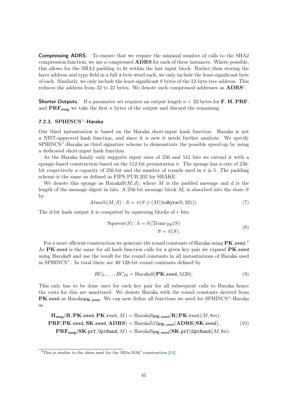<span id="page-40-2"></span>Compressing ADRS. To ensure that we require the minimal number of calls to the SHA2 compression function, we use a compressed ADRS for each of these instances. Where possible, this allows for the SHA2 padding to fit within the last input block. Rather than storing the layer address and type field in a full 4-byte word each, we only include the least-significant byte of each. Similarly, we only include the least-significant 8 bytes of the 12-byte tree address. This reduces the address from 32 to 22 bytes. We denote such compressed addresses as  $\text{ADRS}^c$ .

**Shorter Outputs.** If a parameter set requires an output length  $n < 32$ -bytes for **F**, **H**, **PRF**, and  $\text{PRF}_{\text{msg}}$  we take the first n bytes of the output and discard the remaining.

### <span id="page-40-0"></span> $7.2.3.$  SPHINCS<sup>+</sup>-Haraka

Our third instantiation is based on the Haraka short-input hash function. Haraka is not a NIST-approved hash function, and since it is new it needs further analysis. We specify SPHINCS+-Haraka as third signature scheme to demonstrate the possible speed-up by using a dedicated short-input hash function.

As the Haraka family only supports input sizes of 256 and 512 bits we extend it with a sponge-based construction based on the 512-bit permutation  $\pi$ . The sponge has a rate of 256bit respectively a capacity of 256-bit and the number of rounds used in  $\pi$  is 5. The padding scheme is the same as defined in FIPS PUB 202 for SHAKE.

We denote this sponge as  $\text{Harakas}(M, d)$ , where M is the padded message and d is the length of the message digest in bits. A 256-bit message block  $M_i$  is absorbed into the state S by

$$
Absorb(M, S) : S = \pi(S \oplus (M||\text{toByte}(0, 32))).
$$
\n(7)

The d-bit hash output h is computed by squeezing blocks of r bits

$$
Squeeze(S): h = h||\text{Trunc}_{256}(S)
$$
  

$$
S = \pi(S).
$$
 (8)

For a more efficient construction we generate the round constants of Haraka using  $\text{PK}$  seed.<sup>[2](#page-40-1)</sup> As  $PK.$ seed is the same for all hash function calls for a given key pair we expand  $PK.$ seed using HarakaS and use the result for the round constants in all instantiations of Haraka used in SPHINCS<sup> $+$ </sup>. In total there are 40 128-bit round constants defined by

$$
RC_0, \ldots, RC_{39} = \text{HarakaS}(\mathbf{PK}.\texttt{seed}, 5120). \tag{9}
$$

This only has to be done once for each key pair for all subsequent calls to Haraka hence the costs for this are amortized. We denote Haraka with the round constants derived from **PK**.seed as Haraka $_{\text{PK.seed}}$ . We can now define all functions we need for SPHINCS<sup>+</sup>-Haraka as

$$
\mathbf{H}_{\text{msg}}(\mathbf{R}, \mathbf{PK}.\text{seed}, \mathbf{PK}.\text{root}, M) = \text{HarakaS}_{\mathbf{PK}.\text{seed}}(\mathbf{R}||\mathbf{PK}.\text{root}||M, 8m),
$$
\n
$$
\mathbf{PRF}(\mathbf{PK}.\text{seed}, \mathbf{SK}.\text{seed}, \mathbf{ADRS}) = \text{Haraka512}_{\mathbf{PK}.\text{seed}}(\mathbf{ADRS}||\mathbf{SK}.\text{seed}), \tag{10}
$$
\n
$$
\mathbf{PRF}_{\text{msg}}(\mathbf{SK}.\text{prf}, \text{OptRand}, M) = \text{HarakaS}_{\mathbf{PK}.\text{seed}}(\mathbf{SK}.\text{prf}||\text{OptRand}||M, 8n).
$$

<span id="page-40-1"></span><sup>&</sup>lt;sup>2</sup>This is similar to the ideas used for the MDx-MAC construction  $[20]$ .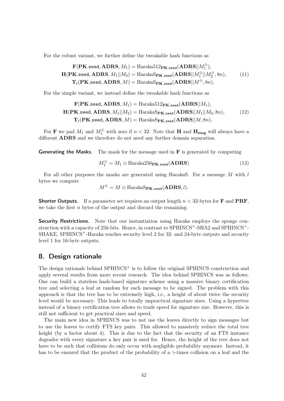For the robust variant, we further define the tweakable hash functions as

$$
\mathbf{F}(\mathbf{PK}.\texttt{seed}, \mathbf{ADRS}, M_1) = \text{Haraka512pK}.\texttt{seed}(\mathbf{ADRS}||M_1^{\oplus}),
$$
\n
$$
\mathbf{H}(\mathbf{PK}.\texttt{seed}, \mathbf{ADRS}, M_1||M_2) = \text{Haraka5pK}.\texttt{seed}(\mathbf{ADRS}||M_1^{\oplus}||M_2^{\oplus}, 8n),
$$
\n
$$
\mathbf{T}_{\ell}(\mathbf{PK}.\texttt{seed}, \mathbf{ADRS}, M) = \text{Haraka5pK}.\texttt{seed}(\mathbf{ADRS}||M^{\oplus}, 8n),
$$
\n(11)

For the simple variant, we instead define the tweakable hash functions as

$$
\mathbf{F}(\mathbf{PK}.\texttt{seed}, \mathbf{ADRS}, M_1) = \text{Haraka512}_{\mathbf{PK}.\texttt{seed}}(\mathbf{ADRS}||M_1),
$$
\n
$$
\mathbf{H}(\mathbf{PK}.\texttt{seed}, \mathbf{ADRS}, M_1||M_2) = \text{HarakaS}_{\mathbf{PK}.\texttt{seed}}(\mathbf{ADRS}||M_1||M_2, 8n),
$$
\n
$$
\mathbf{T}_{\ell}(\mathbf{PK}.\texttt{seed}, \mathbf{ADRS}, M) = \text{HarakaS}_{\mathbf{PK}.\texttt{seed}}(\mathbf{ADRS}||M, 8n),
$$
\n(12)

For **F** we pad  $M_1$  and  $M_1^{\oplus}$  with zero if  $n < 32$ . Note that **H** and **H**<sub>msg</sub> will always have a different ADRS and we therefore do not need any further domain separation.

Generating the Masks. The mask for the message used in F is generated by computing

$$
M_1^{\oplus} = M_1 \oplus \text{Haraka256}_{\text{PK.seed}}(\text{ADRS})
$$
\n(13)

For all other purposes the masks are generated using HarakaS. For a message M with l bytes we compute

$$
M^{\oplus}=M\oplus\text{HarakaS}_{\textbf{PK}.\texttt{seed}}(\textbf{ADRS},l).
$$

**Shorter Outputs.** If a parameter set requires an output length  $n < 32$ -bytes for **F** and **PRF**, we take the first  $n$  bytes of the output and discard the remaining.

Security Restrictions. Note that our instantiation using Haraka employs the sponge construction with a capacity of 256-bits. Hence, in contrast to SPHINCS<sup>+</sup>-SHA2 and SPHINCS<sup>+</sup>-SHAKE, SPHINCS<sup>+</sup>-Haraka reaches security level 2 for 32- and 24-byte outputs and security level 1 for 16-byte outputs.

### <span id="page-41-0"></span>8. Design rationale

The design rationale behind  $SPHINCS<sup>+</sup>$  is to follow the original SPHINCS construction and apply several results from more recent research. The idea behind SPHINCS was as follows. One can build a stateless hash-based signature scheme using a massive binary certification tree and selecting a leaf at random for each message to be signed. The problem with this approach is that the tree has to be extremely high, i.e., a height of about twice the security level would be necessary. This leads to totally unpractical signature sizes. Using a hypertree instead of a binary certification tree allows to trade speed for signature size. However, this is still not sufficient to get practical sizes and speed.

The main new idea in SPHINCS was to not use the leaves directly to sign messages but to use the leaves to certify FTS key pairs. This allowed to massively reduce the total tree height (by a factor about 4). This is due to the fact that the security of an FTS instance degrades with every signature a key pair is used for. Hence, the height of the tree does not have to be such that collisions do only occur with negligible probability anymore. Instead, it has to be ensured that the product of the probability of a  $\gamma$ -times collision on a leaf and the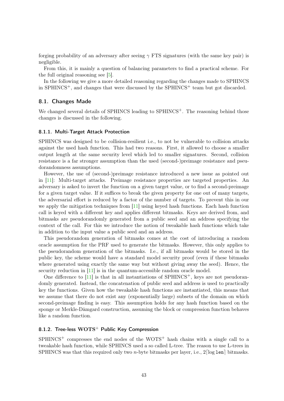<span id="page-42-3"></span>forging probability of an adversary after seeing  $\gamma$  FTS signatures (with the same key pair) is negligible.

From this, it is mainly a question of balancing parameters to find a practical scheme. For the full original reasoning see [\[5\]](#page-59-2).

In the following we give a more detailed reasoning regarding the changes made to SPHINCS in SPHINCS<sup>+</sup>, and changes that were discussed by the SPHINCS<sup>+</sup> team but got discarded.

### <span id="page-42-0"></span>8.1. Changes Made

We changed several details of SPHINCS leading to SPHINCS<sup>+</sup>. The reasoning behind those changes is discussed in the following.

#### <span id="page-42-1"></span>8.1.1. Multi-Target Attack Protection

SPHINCS was designed to be collision-resilient i.e., to not be vulnerable to collision attacks against the used hash function. This had two reasons. First, it allowed to choose a smaller output length at the same security level which led to smaller signatures. Second, collision resistance is a far stronger assumption than the used (second-)preimage resistance and pseudorandomness assumptions.

However, the use of (second-)preimage resistance introduced a new issue as pointed out in [\[11\]](#page-59-3): Multi-target attacks. Preimage resistance properties are targeted properties. An adversary is asked to invert the function on a given target value, or to find a second-preimage for a given target value. If it suffices to break the given property for one out of many targets, the adversarial effort is reduced by a factor of the number of targets. To prevent this in our we apply the mitigation techniques from [\[11\]](#page-59-3) using keyed hash functions. Each hash function call is keyed with a different key and applies different bitmasks. Keys are derived from, and bitmasks are pseudorandomly generated from a public seed and an address specifying the context of the call. For this we introduce the notion of tweakable hash functions which take in addition to the input value a public seed and an address.

This pseudorandom generation of bitmasks comes at the cost of introducing a random oracle assumption for the PRF used to generate the bitmasks. However, this only applies to the pseudorandom generation of the bitmasks. I.e., if all bitmasks would be stored in the public key, the scheme would have a standard model security proof (even if these bitmasks where generated using exactly the same way but without giving away the seed). Hence, the security reduction in [\[11\]](#page-59-3) is in the quantum-accessible random oracle model.

One difference to  $[11]$  is that in all instantiations of SPHINCS<sup>+</sup>, keys are not pseudorandomly generated. Instead, the concatenation of public seed and address is used to practically key the functions. Given how the tweakable hash functions are instantiated, this means that we assume that there do not exist any (exponentially large) subsets of the domain on which second-preimage finding is easy. This assumption holds for any hash function based on the sponge or Merkle-Dåmgard construction, assuming the block or compression function behaves like a random function.

### <span id="page-42-2"></span>8.1.2. Tree-less  $WOTS^+$  Public Key Compression

 $SPHINCS<sup>+</sup>$  compresses the end nodes of the WOTS<sup>+</sup> hash chains with a single call to a tweakable hash function, while SPHINCS used a so called L-tree. The reason to use L-trees in SPHINCS was that this required only two *n*-byte bitmasks per layer, i.e.,  $2\lceil \log \lg 1 \text{ en} \rceil$  bitmasks.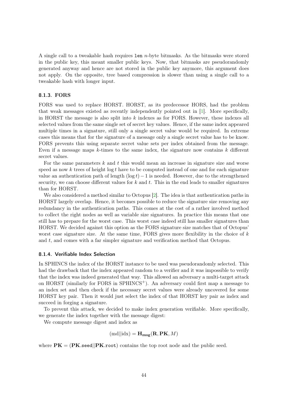<span id="page-43-2"></span>A single call to a tweakable hash requires len n-byte bitmasks. As the bitmasks were stored in the public key, this meant smaller public keys. Now, that bitmasks are pseudorandomly generated anyway and hence are not stored in the public key anymore, this argument does not apply. On the opposite, tree based compression is slower than using a single call to a tweakable hash with longer input.

#### <span id="page-43-0"></span>8.1.3. FORS

FORS was used to replace HORST. HORST, as its predecessor HORS, had the problem that weak messages existed as recently independently pointed out in [\[1\]](#page-59-5). More specifically, in HORST the message is also split into  $k$  indexes as for FORS. However, these indexes all selected values from the same single set of secret key values. Hence, if the same index appeared multiple times in a signature, still only a single secret value would be required. In extreme cases this means that for the signature of a message only a single secret value has to be know. FORS prevents this using separate secret value sets per index obtained from the message. Even if a message maps  $k$ -times to the same index, the signature now contains  $k$  different secret values.

For the same parameters  $k$  and  $t$  this would mean an increase in signature size and worse speed as now  $k$  trees of height log t have to be computed instead of one and for each signature value an authentication path of length  $(\log t)-1$  is needed. However, due to the strengthened security, we can choose different values for  $k$  and  $t$ . This in the end leads to smaller signatures than for HORST.

We also considered a method similar to Octopus [\[2\]](#page-59-6). The idea is that authentication paths in HORST largely overlap. Hence, it becomes possible to reduce the signature size removing any redundancy in the authentication paths. This comes at the cost of a rather involved method to collect the right nodes as well as variable size signatures. In practice this means that one still has to prepare for the worst case. This worst case indeed still has smaller signatures than HORST. We decided against this option as the FORS signature size matches that of Octopus' worst case signature size. At the same time, FORS gives more flexibility in the choice of  $k$ and  $t$ , and comes with a far simpler signature and verification method that Octopus.

#### <span id="page-43-1"></span>8.1.4. Verifiable Index Selection

In SPHINCS the index of the HORST instance to be used was pseudorandomly selected. This had the drawback that the index appeared random to a verifier and it was impossible to verify that the index was indeed generated that way. This allowed an adversary a multi-target attack on HORST (similarly for FORS in  $SPHINCS^+$ ). An adversary could first map a message to an index set and then check if the necessary secret values were already uncovered for some HORST key pair. Then it would just select the index of that HORST key pair as index and succeed in forging a signature.

To prevent this attack, we decided to make index generation verifiable. More specifically, we generate the index together with the message digest:

We compute message digest and index as

$$
(\text{md}||\text{idx}) = \mathbf{H}_{\mathbf{msg}}(\mathbf{R}, \mathbf{PK}, M)
$$

where  $\mathbf{P}\mathbf{K} = (\mathbf{P}\mathbf{K}.\mathbf{seed}||\mathbf{P}\mathbf{K}.\mathbf{root})$  contains the top root node and the public seed.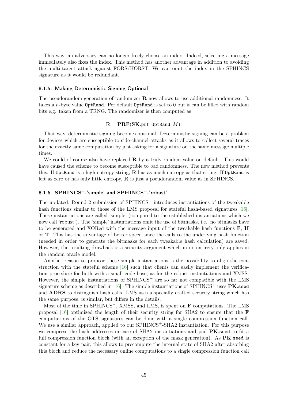<span id="page-44-2"></span>This way, an adversary can no longer freely choose an index. Indeed, selecting a message immediately also fixes the index. This method has another advantage in addition to avoiding the multi-target attack against FORS/HORST. We can omit the index in the SPHINCS signature as it would be redundant.

#### <span id="page-44-0"></span>8.1.5. Making Deterministic Signing Optional

The pseudorandom generation of randomizer  $\bf{R}$  now allows to use additional randomness. It takes a n-byte value OptRand. Per default OptRand is set to 0 but it can be filled with random bits e.g. taken from a TRNG. The randomizer is then computed as

#### $\mathbf{R} = \textbf{PRF}(\textbf{SK}.\texttt{prf}, \texttt{OptRand}, M).$

That way, deterministic signing becomes optional. Deterministic signing can be a problem for devices which are susceptible to side-channel attacks as it allows to collect several traces for the exactly same computation by just asking for a signature on the same message multiple times.

We could of course also have replaced  $\bf{R}$  by a truly random value on default. This would have caused the scheme to become susceptible to bad randomness. The new method prevents this. If OptRand is a high entropy string,  $\bf{R}$  has as much entropy as that string. If OptRand is left as zero or has only little entropy, R is just a pseudorandom value as in SPHINCS.

#### <span id="page-44-1"></span>8.1.6. SPHINCS<sup>+</sup>-'simple' and SPHINCS<sup>+</sup>-'robust'

The updated, Round 2 submission of SPHINCS<sup>+</sup> introduces instantiations of the tweakable hash functions similar to those of the LMS proposal for stateful hash-based signatures [\[16\]](#page-60-2). These instantiations are called 'simple' (compared to the established instantiations which we now call 'robust'). The 'simple' instantiations omit the use of bitmasks, i.e., no bitmasks have to be generated and XORed with the message input of the tweakable hash functions  $\bf{F}$ ,  $\bf{H}$ or T. This has the advantage of better speed since the calls to the underlying hash function (needed in order to generate the bitmasks for each tweakable hash calculation) are saved. However, the resulting drawback is a security argument which in its entirety only applies in the random oracle model.

Another reason to propose these simple instantiations is the possibility to align the construction with the stateful scheme  $\left| \frac{16}{6} \right|$  such that clients can easily implement the verification procedure for both with a small code-base, as for the robust instantiations and XMSS. However, the simple instantiations of  $SPHINCS<sup>+</sup>$  are so far not compatible with the LMS signature scheme as described in [\[16\]](#page-60-2). The simple instantiations of SPHINCS<sup>+</sup> uses  $PK$ .seed and ADRS to distinguish hash calls. LMS uses a specially crafted security string which has the same purpose, is similar, but differs in the details.

Most of the time in SPHINCS<sup>+</sup>, XMSS, and LMS, is spent on  $\bf{F}$  computations. The LMS proposal  $[16]$  optimized the length of their security string for SHA2 to ensure that the **F** computations of the OTS signatures can be done with a single compression function call. We use a similar approach, applied to our SPHINCS<sup>+</sup>-SHA2 instantiation. For this purpose we compress the hash addresses in case of SHA2 instantiations and pad **PK**.seed to fit a full compression function block (with an exception of the mask generation). As  $PK$  seed is constant for a key pair, this allows to precompute the internal state of SHA2 after absorbing this block and reduce the necessary online computations to a single compression function call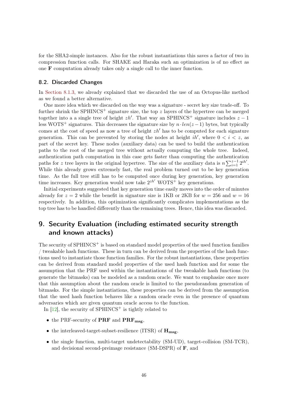<span id="page-45-2"></span>for the SHA2-simple instances. Also for the robust instantiations this saves a factor of two in compression function calls. For SHAKE and Haraka such an optimization is of no effect as one F computation already takes only a single call to the inner function.

### <span id="page-45-0"></span>8.2. Discarded Changes

In [Section 8.1.3,](#page-43-0) we already explained that we discarded the use of an Octopus-like method as we found a better alternative.

One more idea which we discarded on the way was a signature - secret key size trade-off. To further shrink the SPHINCS<sup>+</sup> signature size, the top z layers of the hypertree can be merged together into a a single tree of height  $zh'$ . That way an SPHINCS<sup>+</sup> signature includes  $z - 1$ less WOTS<sup>+</sup> signatures. This decreases the signature size by  $n \cdot len(z - 1)$  bytes, but typically comes at the cost of speed as now a tree of height  $zh'$  has to be computed for each signature generation. This can be prevented by storing the nodes at height  $ih'$ , where  $0 < i < z$ , as part of the secret key. These nodes (auxiliary data) can be used to build the authentication paths to the root of the merged tree without actually computing the whole tree. Indeed, authentication path computation in this case gets faster than computing the authentication paths for z tree layers in the original hypertree. The size of the auxiliary data is  $n \sum_{i=1}^{z-1} 2^{ih'}$ . While this already grows extremely fast, the real problem turned out to be key generation time. As the full tree still has to be computed once during key generation, key generation time increases. Key generation would now take  $2^{zh'}$  WOTS<sup>+</sup> key generations.

Initial experiments suggested that key generation time easily moves into the order of minutes already for  $z = 2$  while the benefit in signature size is 1KB or 2KB for  $w = 256$  and  $w = 16$ respectively. In addition, this optimization significantly complicates implementations as the top tree has to be handled differently than the remaining trees. Hence, this idea was discarded.

## <span id="page-45-1"></span>9. Security Evaluation (including estimated security strength and known attacks)

The security of SPHINCS<sup>+</sup> is based on standard model properties of the used function families / tweakable hash functions. These in turn can be derived from the properties of the hash functions used to instantiate those function families. For the robust instantiations, these properties can be derived from standard model properties of the used hash function and for some the assumption that the PRF used within the instantiations of the tweakable hash functions (to generate the bitmasks) can be modeled as a random oracle. We want to emphasize once more that this assumption about the random oracle is limited to the pseudorandom generation of bitmasks. For the simple instantiations, these properties can be derived from the assumption that the used hash function behaves like a random oracle even in the presence of quantum adversaries which are given quantum oracle access to the function.

In  $[12]$ , the security of SPHINCS<sup>+</sup> is tightly related to

- $\bullet$  the PRF-security of PRF and PRF<sub>msg</sub>,
- the interleaved-target-subset-resilience (ITSR) of  $\mathbf{H}_{\text{msg}}$ ,
- the single function, multi-target undetectability (SM-UD), target-collision (SM-TCR), and decisional second-preimage resistance (SM-DSPR) of F, and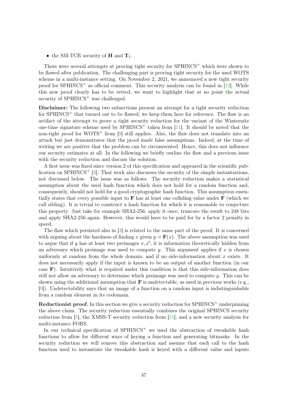<span id="page-46-0"></span>• the SM-TCR security of **H** and  $\mathbf{T}_{\ell}$ .

There were several attempts at proving tight security for SPHINCS<sup>+</sup> which were shown to be flawed after publication. The challenging part is proving tight security for the used WOTS scheme in a multi-instance setting. On November 2, 2021, we announced a new tight security proof for SPHINCS<sup>+</sup> as official comment. This security analysis can be found in  $[12]$ . While this new proof clearly has to be vetted, we want to highlight that at no point the actual security of  $SPHINCS^+$  was challenged.

Disclaimer: The following two subsections present an attempt for a tight security reduction for  $SPHINCS^+$  that turned out to be flawed; we keep them here for reference. The flaw is an artifact of the attempt to prove a tight security reduction for the variant of the Winternitz one-time signature scheme used by  $SPHINCS^+$  taken from [\[11\]](#page-59-3). It should be noted that the non-tight proof for WOTS<sup>+</sup> from  $[9]$  still applies. Also, the flaw does not translate into an attack but just demonstrates that the proof made false assumptions. Indeed, at the time of writing we are positive that the problem can be circumvented. Hence, this does not influence our security estimates at all. In the following we briefly outline the flaw and a previous issue with the security reduction and discuss the solution.

A first issue was fixed since version 2 of this specification and appeared in the scientific pub-lication on SPHINCS<sup>+</sup> [\[3\]](#page-59-8). That work also discusses the security of the simple instantiations, not discussed below. The issue was as follows. The security reduction makes a statistical assumption about the used hash function which does not hold for a random function and, consequently, should not hold for a good cryptographic hash function. This assumption essentially states that every possible input to  $\bf{F}$  has at least one colliding value under  $\bf{F}$  (which we call sibling). It is trivial to construct a hash function for which it is reasonable to conjecture this property. Just take for example SHA2-256, apply it once, truncate the result to 248 bits and apply SHA2-256 again. However, this would have to be paid for by a factor 2 penalty in speed.

The flaw which persisted also in [\[3\]](#page-59-8) is related to the same part of the proof. It is concerned with arguing about the hardness of finding x given  $y = \mathbf{F}(x)$ . The above assumption was used to argue that if y has at least two preimages  $x, x'$ , it is information theoretically hidden from an adversary which preimage was used to compute  $y$ . This argument applies if x is chosen uniformly at random from the whole domain, and if no side-information about  $x$  exists. It does not necessarily apply if the input is known to be an output of another function (in our case  $\bf{F}$ ). Intuitively what is required under this condition is that this side-information does still not allow an adversary to determine which preimage was used to compute y. This can be shown using the additional assumption that  $\bf{F}$  is undetectable, as used in previous works (e.g., [\[9\]](#page-59-4)). Undetectability says that an image of a function on a random input is indistinguishable from a random element in its codomain.

**Reductionist proof.** In this section we give a security reduction for  $SPHINCS^+$  underpinning the above claim. The security reduction essentially combines the original SPHINCS security reduction from [\[5\]](#page-59-2), the XMSS-T security reduction from [\[11\]](#page-59-3), and a new security analysis for multi-instance FORS.

In our technical specification of  $SPHINCS^+$  we used the abstraction of tweakable hash functions to allow for different ways of keying a function and generating bitmasks. In the security reduction we will remove this abstraction and assume that each call to the hash function used to instantiate the tweakable hash is keyed with a different value and inputs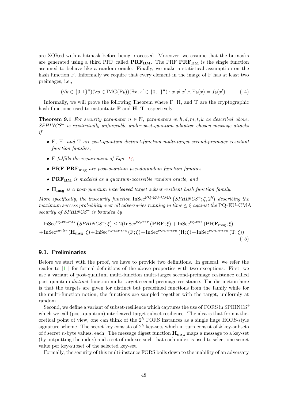<span id="page-47-3"></span>are XORed with a bitmask before being processed. Moreover, we assume that the bitmasks are generated using a third PRF called  $\mathbf{PRF}_{BM}$ . The PRF  $\mathbf{PRF}_{BM}$  is the single function assumed to behave like a random oracle. Finally, we make a statistical assumption on the hash function F. Informally we require that every element in the image of F has at least two preimages, i.e.,

<span id="page-47-1"></span>
$$
(\forall k \in \{0,1\}^n)(\forall y \in \text{IMG}(F_k))(\exists x, x' \in \{0,1\}^n) : x \neq x' \land F_k(x) = f_k(x').
$$
 (14)

Informally, we will prove the following Theorem where F, H, and T are the cryptographic hash functions used to instantiate  $\bf{F}$  and  $\bf{H}$ ,  $\bf{T}$  respectively.

<span id="page-47-2"></span>**Theorem 9.1** For security parameter  $n \in \mathbb{N}$ , parameters w, h, d, m, t, k as described above,  $SPHINCS<sup>+</sup>$  is existentially unforgeable under post-quantum adaptive chosen message attacks if

- F, H, and T are post-quantum distinct-function multi-target second-preimage resistant function families,
- F fulfills the requirement of Eqn.  $14$ ,
- $\mathbf{PRF}, \mathbf{PRF}_{\text{msg}}$  are post-quantum pseudorandom function families,
- PRF<sub>BM</sub> is modeled as a quantum-accessible random oracle, and
- $\bullet$   $\mathbf{H_{msg}}$  is a post-quantum interleaved target subset resilient hash function family.

More specifically, the insecurity function  $InSec^{PQ-EU-CMA} (SPHINCS^{+}; \xi, 2^{h})$  describing the maximum success probability over all adversaries running in time  $\leq \xi$  against the PQ-EU-CMA security of SPHINCS<sup>+</sup> is bounded by

 ${\rm InSec}^{\rm PQ-EU-CMA}$   $(SPHINCS^+;\xi) \leq 2({\rm InSec}^{\rm PQ-PRF}\left(\textbf{PRF};\xi\right) + {\rm InSec}^{\rm PQ-PRF}\left(\textbf{PRF}_{\textbf{msg}};\xi\right)$  $+\text{InSec}^{pq\text{-}itsr}(\mathbf{H}_{\text{msg}};\xi)+\text{InSec}^{pq\text{-}DM\text{-SPR}}(F;\xi)+\text{InSec}^{pq\text{-}DM\text{-SPR}}(H;\xi)+\text{InSec}^{pq\text{-}DM\text{-SPR}}(T;\xi))$ (15)

#### <span id="page-47-0"></span>9.1. Preliminaries

Before we start with the proof, we have to provide two definitions. In general, we refer the reader to [\[11\]](#page-59-3) for formal definitions of the above properties with two exceptions. First, we use a variant of post-quantum multi-function multi-target second-preimage resistance called post-quantum distinct-function multi-target second-preimage resistance. The distinction here is that the targets are given for distinct but predefined functions from the family while for the multi-function notion, the functions are sampled together with the target, uniformly at random.

Second, we define a variant of subset-resilience which captures the use of FORS in SPHINCS<sup>+</sup> which we call (post-quantum) interleaved target subset resilience. The idea is that from a theoretical point of view, one can think of the  $2^h$  FORS instances as a single huge HORS-style signature scheme. The secret key consists of  $2^h$  key-sets which in turn consist of k key-subsets of t secret n-byte values, each. The message digest function  $\mathbf{H_{msg}}$  maps a message to a key-set (by outputting the index) and a set of indexes such that each index is used to select one secret value per key-subset of the selected key-set.

Formally, the security of this multi-instance FORS boils down to the inability of an adversary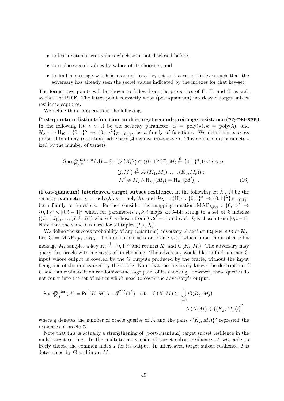- to learn actual secret values which were not disclosed before.
- to replace secret values by values of its choosing, and
- to find a message which is mapped to a key-set and a set of indexes such that the adversary has already seen the secret values indicated by the indexes for that key-set.

The former two points will be shown to follow from the properties of F, H, and T as well as those of PRF. The latter point is exactly what (post-quantum) interleaved target subset resilience captures.

We define those properties in the following.

Post-quantum distinct-function, multi-target second-preimage resistance (PQ-DM-SPR). In the following let  $\lambda \in \mathbb{N}$  be the security parameter,  $\alpha = \text{poly}(\lambda), \kappa = \text{poly}(\lambda)$ , and  $\mathcal{H}_{\lambda} = \{H_K : \{0,1\}^{\alpha} \to \{0,1\}^{\lambda}\}_{K \in \{0,1\}^{\kappa}}$  be a family of functions. We define the success probability of any (quantum) adversary  $\mathcal A$  against PQ-MM-SPR. This definition is parameterized by the number of targets

$$
\text{Succ}_{\mathcal{H}_{\lambda},p}^{\text{Pq-DM-SPR}}\left(\mathcal{A}\right) = \Pr\left[\left(\forall \left\{K_{i}\right\}_{1}^{q} \subset (\{0,1\}^{\kappa})^{q}\right), M_{i} \stackrel{\$}{\leftarrow} \{0,1\}^{\alpha}, 0 < i \leq p; \right. \right. \tag{16}
$$
\n
$$
(j, M') \stackrel{\$}{\leftarrow} \mathcal{A}((K_{1}, M_{1}), \dots, (K_{p}, M_{p})) : M' \neq M_{j} \land \text{H}_{K_{j}}(M_{j}) = \text{H}_{K_{j}}(M')\right].
$$

(Post-quantum) interleaved target subset resilience. In the following let  $\lambda \in \mathbb{N}$  be the security parameter,  $\alpha = \text{poly}(\lambda), \kappa = \text{poly}(\lambda)$ , and  $\mathcal{H}_{\lambda} = \{H_K : \{0,1\}^{\alpha} \to \{0,1\}^{\lambda}\}_{K \in \{0,1\}^{\kappa}}$ be a family of functions. Further consider the mapping function  $\text{MAP}_{h,k,t} : \{0,1\}^{\lambda} \rightarrow$  $\{0,1\}^h \times [0,t-1]^k$  which for parameters  $h, k, t$  maps an  $\lambda$ -bit string to a set of k indexes  $((I, 1, J_1), \ldots, (I, k, J_k))$  where I is chosen from  $[0, 2<sup>h</sup> - 1]$  and each  $J_i$  is chosen from  $[0, t-1]$ . Note that the same I is used for all tuples  $(I, i, J_i)$ .

We define the success probability of any (quantum) adversary A against PQ-MM-SPR of  $\mathcal{H}_{\lambda}$ . Let G = MAP<sub>h,k,t</sub>  $\mathcal{H}_{\lambda}$ . This definition uses an oracle  $\mathcal{O}(\cdot)$  which upon input of a  $\alpha$ -bit message  $M_i$  samples a key  $K_i \stackrel{\$}{\leftarrow} \{0,1\}^{\kappa}$  and returns  $K_i$  and  $G(K_i, M_i)$ . The adversary may query this oracle with messages of its choosing. The adversary would like to find another G input whose output is covered by the G outputs produced by the oracle, without the input being one of the inputs used by the oracle. Note that the adversary knows the description of G and can evaluate it on randomizer-message pairs of its choosing. However, these queries do not count into the set of values which need to cover the adversary's output.

$$
\text{Succ}^{\text{pq-itsr}}_{\mathcal{H},q}(\mathcal{A}) = \Pr\Big[ (K, M) \leftarrow \mathcal{A}^{\mathcal{O}(\cdot)}(1^{\lambda}) \quad \text{s.t.} \quad \text{G}(K, M) \subseteq \bigcup_{j=1}^{q} \text{G}(K_j, M_j) \\
\qquad \qquad \wedge (K, M) \notin \{ (K_j, M_j) \}_1^q \Big]
$$

where q denotes the number of oracle queries of A and the pairs  $\{(K_j, M_j)\}_{1}^q$  $\frac{q}{1}$  represent the responses of oracle O.

Note that this is actually a strengthening of (post-quantum) target subset resilience in the multi-target setting. In the multi-target version of target subset resilience, A was able to freely choose the common index  $I$  for its output. In interleaved target subset resilience,  $I$  is determined by G and input M.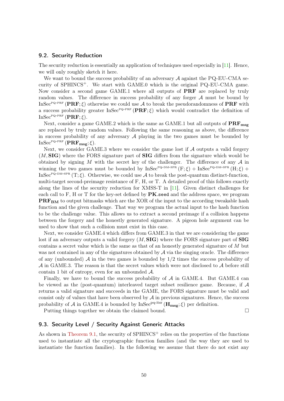### <span id="page-49-2"></span><span id="page-49-0"></span>9.2. Security Reduction

The security reduction is essentially an application of techniques used especially in [\[11\]](#page-59-3). Hence, we will only roughly sketch it here.

We want to bound the success probability of an adversary  $A$  against the PQ-EU-CMA security of  $SPHINCS^+$ . We start with GAME.0 which is the original PQ-EU-CMA game. Now consider a second game GAME.1 where all outputs of PRF are replaced by truly random values. The difference in success probability of any forger  $A$  must be bound by InSec<sup>PQ-prF</sup> (PRF;  $\xi$ ) otherwise we could use A to break the pseudorandomness of PRF with a success probability greater InSec<sup>PQ-PRF</sup> (PRF;  $\xi$ ) which would contradict the definition of  $InSec^{PQ-PRF}}( \textbf{PRF}; \xi).$ 

Next, consider a game GAME.2 which is the same as GAME.1 but all outputs of  $\text{PRF}_{\text{msg}}$ are replaced by truly random values. Following the same reasoning as above, the difference in success probability of any adversary  $A$  playing in the two games must be bounded by  $InSec^{PQ-PRF}}(PRF_{msg}; \xi).$ 

Next, we consider GAME.3 where we consider the game lost if  $A$  outputs a valid forgery  $(M, SIG)$  where the FORS signature part of **SIG** differs from the signature which would be obtained by signing M with the secret key of the challenger. The difference of any  $A$  in winning the two games must be bounded by  $InSec^{PQ-DM-SPR}(F;\xi) + InSec^{PQ-DM-SPR}(H;\xi)$  + InSec<sup>PQ-DM-SPR</sup> (T;  $\xi$ ). Otherwise, we could use A to break the post-quantum distinct-function, multi-target second-preimage resistance of F, H, or T. A detailed proof of this follows exactly along the lines of the security reduction for XMSS-T in [\[11\]](#page-59-3). Given distinct challenges for each call to  $F$ , H or T for the key-set defined by  $PK$ . seed and the address space, we program PRF<sub>BM</sub> to output bitmasks which are the XOR of the input to the according tweakable hash function and the given challenge. That way we program the actual input to the hash function to be the challenge value. This allows us to extract a second preimage if a collision happens between the forgery and the honestly generated signature. A pigeon hole argument can be used to show that such a collision must exist in this case.

Next, we consider GAME.4 which differs from GAME.3 in that we are considering the game lost if an adversary outputs a valid forgery  $(M, \text{SIG})$  where the FORS signature part of **SIG** contains a secret value which is the same as that of an honestly generated signature of  $M$  but was not contained in any of the signatures obtained by  $A$  via the singing oracle. The difference of any (unbounded)  $\mathcal A$  in the two games is bounded by  $1/2$  times the success probability of  $\mathcal A$  in GAME.3. The reason is that the secret values which were not disclosed to  $\mathcal A$  before still contain 1 bit of entropy, even for an unbounded  $\mathcal{A}$ .

Finally, we have to bound the success probability of  $A$  in GAME.4. But GAME.4 can be viewed as the (post-quantum) interleaved target subset resilience game. Because, if A returns a valid signature and succeeds in the GAME, the FORS signature must be valid and consist only of values that have been observed by  $A$  in previous signatures. Hence, the success probability of A in GAME.4 is bounded by  $InSec^{pq-itsr}(\mathbf{H}_{msg};\xi)$  per definition.

Putting things together we obtain the claimed bound.

#### <span id="page-49-1"></span>9.3. Security Level / Security Against Generic Attacks

As shown in [Theorem 9.1,](#page-47-2) the security of  $SPHINCS^+$  relies on the properties of the functions used to instantiate all the cryptographic function families (and the way they are used to instantiate the function families). In the following we assume that there do not exist any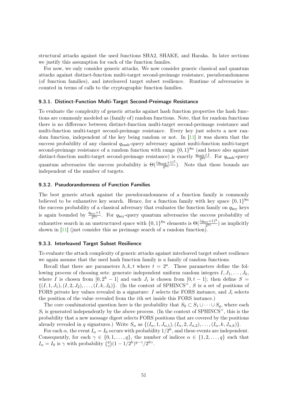<span id="page-50-3"></span>structural attacks against the used functions SHA2, SHAKE, and Haraka. In later sections we justify this assumption for each of the function familes.

For now, we only consider generic attacks. We now consider generic classical and quantum attacks against distinct-function multi-target second-preimage resistance, pseudorandomness (of function families), and interleaved target subset resilience. Runtime of adversaries is counted in terms of calls to the cryptographic function families.

#### <span id="page-50-0"></span>9.3.1. Distinct-Function Multi-Target Second-Preimage Resistance

To evaluate the complexity of generic attacks against hash function properties the hash functions are commonly modeled as (family of) random functions. Note, that for random functions there is no difference between distinct-function multi-target second-preimage resistance and multi-function multi-target second-preimage resistance. Every key just selects a new random function, independent of the key being random or not. In  $[11]$  it was shown that the success probability of any classical  $q_{\text{hash-query}}$  adversary against multi-function multi-target second-preimage resistance of a random function with range  $\{0,1\}^{8n}$  (and hence also against distinct-function multi-target second-preimage resistance) is exactly  $\frac{q_{\text{hash}}+1}{2^{8n}}$ . For  $q_{\text{hash}}$ -query quantum adversaries the success probability is  $\Theta(\frac{(q_{\text{hash}}+1)^2}{2^{8n}})$ . Note that these bounds are independent of the number of targets.

### <span id="page-50-1"></span>9.3.2. Pseudorandomness of Function Families

The best generic attack against the pseudorandomness of a function family is commonly believed to be exhaustive key search. Hence, for a function family with key space  $\{0,1\}^{8n}$ the success probability of a classical adversary that evaluates the function family on  $q_{\text{kev}}$  keys is again bounded by  $\frac{q_{\text{key}}+1}{2^{8n}}$ . For  $q_{\text{key}}$ -query quantum adversaries the success probability of exhaustive search in an unstructured space with  $\{0,1\}^{8n}$  elements is  $\Theta(\frac{(q_{\text{key}}+1)^2}{2^{8n}})$  as implicitly shown in [\[11\]](#page-59-3) (just consider this as preimage search of a random function).

#### <span id="page-50-2"></span>9.3.3. Interleaved Target Subset Resilience

To evaluate the attack complexity of generic attacks against interleaved target subset resilience we again assume that the used hash function family is a family of random functions.

Recall that there are parameters  $h, k, t$  where  $t = 2<sup>a</sup>$ . These parameters define the following process of choosing sets: generate independent uniform random integers  $I, J_1, \ldots, J_k$ , where I is chosen from  $[0, 2<sup>h</sup> - 1]$  and each  $J<sub>i</sub>$  is chosen from  $[0, t - 1]$ ; then define  $S =$  $\{(I,1,J_1),(I,2,J_2),\ldots,(I,k,J_k)\}\right.$  (In the context of SPHINCS<sup>+</sup>, S is a set of positions of FORS private key values revealed in a signature: I selects the FORS instance, and  $J_i$  selects the position of the value revealed from the ith set inside this FORS instance.)

The core combinatorial question here is the probability that  $S_0 \subset S_1 \cup \cdots \cup S_q$ , where each  $S_i$  is generated independently by the above process. (In the context of SPHINCS<sup>+</sup>, this is the probability that a new message digest selects FORS positions that are covered by the positions already revealed in q signatures.) Write  $S_{\alpha}$  as  $\{(I_{\alpha}, 1, J_{\alpha,1}), (I_{\alpha}, 2, J_{\alpha,2}), \ldots, (I_{\alpha}, k, J_{\alpha,k})\}.$ 

For each  $\alpha$ , the event  $I_{\alpha} = I_0$  occurs with probability  $1/2^h$ , and these events are independent. Consequently, for each  $\gamma \in \{0, 1, \ldots, q\}$ , the number of indices  $\alpha \in \{1, 2, \ldots, q\}$  such that  $I_{\alpha} = I_0$  is  $\gamma$  with probability  $\left(\frac{q}{\gamma}\right)$  $\binom{q}{\gamma} (1 - 1/2^h)^{q - \gamma} / 2^{h\gamma}.$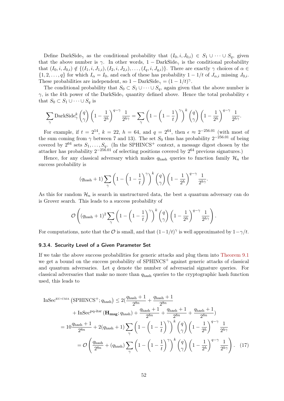Define DarkSide<sub>γ</sub> as the conditional probability that  $(I_0, i, J_{0,i}) \in S_1 \cup \cdots \cup S_q$ , given that the above number is  $\gamma$ . In other words, 1 – DarkSide<sub> $\gamma$ </sub> is the conditional probability that  $(I_0, i, J_{0,i}) \notin \{(I_1, i, J_{1,i}), (I_2, i, J_{2,i}), \ldots, (I_q, i, J_{q,i})\}$ . There are exactly  $\gamma$  choices of  $\alpha \in$  $\{1, 2, \ldots, q\}$  for which  $I_{\alpha} = I_0$ , and each of these has probability  $1 - 1/t$  of  $J_{\alpha,i}$  missing  $J_{0,i}$ . These probabilities are independent, so  $1 - \text{DarkSide}_{\gamma} = (1 - 1/t)^{\gamma}$ .

The conditional probability that  $S_0 \subset S_1 \cup \cdots \cup S_q$ , again given that the above number is  $\gamma$ , is the kth power of the DarkSide<sub> $\gamma$ </sub> quantity defined above. Hence the total probability  $\epsilon$ that  $S_0 \subset S_1 \cup \cdots \cup S_q$  is

$$
\sum_{\gamma} \text{DarkSide}_{\gamma}^{k} \binom{q}{\gamma} \left(1 - \frac{1}{2^{h}}\right)^{q - \gamma} \frac{1}{2^{h\gamma}} = \sum_{\gamma} \left(1 - \left(1 - \frac{1}{t}\right)^{\gamma}\right)^{k} \binom{q}{\gamma} \left(1 - \frac{1}{2^{h}}\right)^{q - \gamma} \frac{1}{2^{h\gamma}}.
$$

For example, if  $t = 2^{14}$ ,  $k = 22$ ,  $h = 64$ , and  $q = 2^{64}$ , then  $\epsilon \approx 2^{-256.01}$  (with most of the sum coming from  $\gamma$  between 7 and 13). The set  $S_0$  thus has probability  $2^{-256.01}$  of being covered by  $2^{64}$  sets  $S_1, \ldots, S_q$ . (In the SPHINCS<sup>+</sup> context, a message digest chosen by the attacker has probability  $2^{-256.01}$  of selecting positions covered by  $2^{64}$  previous signatures.)

Hence, for any classical adversary which makes  $q_{\text{hash}}$  queries to function family  $\mathcal{H}_n$  the success probability is

$$
(q_{\text{hash}} + 1) \sum_{\gamma} \left( 1 - \left( 1 - \frac{1}{t} \right)^{\gamma} \right)^k {q \choose \gamma} \left( 1 - \frac{1}{2^h} \right)^{q - \gamma} \frac{1}{2^{h\gamma}}.
$$

As this for random  $\mathcal{H}_n$  is search in unstructured data, the best a quantum adversary can do is Grover search. This leads to a success probability of

$$
\mathcal{O}\left((q_{\text{hash}}+1)^2\sum_{\gamma}\left(1-\left(1-\frac{1}{t}\right)^{\gamma}\right)^k {q \choose \gamma}\left(1-\frac{1}{2^h}\right)^{q-\gamma}\frac{1}{2^{h\gamma}}\right).
$$

For computations, note that the  $\mathcal O$  is small, and that  $(1-1/t)^\gamma$  is well approximated by  $1-\gamma/t$ .

#### <span id="page-51-0"></span>9.3.4. Security Level of a Given Parameter Set

If we take the above success probabilities for generic attacks and plug them into [Theorem 9.1](#page-47-2) we get a bound on the success probability of  $SPHINCS^+$  against generic attacks of classical and quantum adversaries. Let  $q$  denote the number of adversarial signature queries. For classical adversaries that make no more than qhash queries to the cryptographic hash function used, this leads to

$$
\text{InSec}^{\text{EU-CMA}}\left(\text{SPHINCS}^+; q_{\text{hash}}\right) \le 2\left(\frac{q_{\text{hash}} + 1}{2^{8n}} + \frac{q_{\text{hash}} + 1}{2^{8n}}\right)
$$
  
+ InSec<sup>pq-itsr</sup> ( $\mathbf{H}_{\text{msg}}; q_{\text{hash}}\right) + \frac{q_{\text{hash}} + 1}{2^{8n}} + \frac{q_{\text{hash}} + 1}{2^{8n}} + \frac{q_{\text{hash}} + 1}{2^{8n}}\right)= 10\frac{q_{\text{hash}} + 1}{2^{8n}} + 2(q_{\text{hash}} + 1)\sum_{\gamma} \left(1 - \left(1 - \frac{1}{t}\right)^{\gamma}\right)^k \left(\frac{q}{\gamma}\right) \left(1 - \frac{1}{2^h}\right)^{q - \gamma} \frac{1}{2^{h\gamma}}= \mathcal{O}\left(\frac{q_{\text{hash}}}{2^{8n}} + (q_{\text{hash}})\sum_{\gamma} \left(1 - \left(1 - \frac{1}{t}\right)^{\gamma}\right)^k \left(\frac{q}{\gamma}\right) \left(1 - \frac{1}{2^h}\right)^{q - \gamma} \frac{1}{2^{h\gamma}}\right). (17)$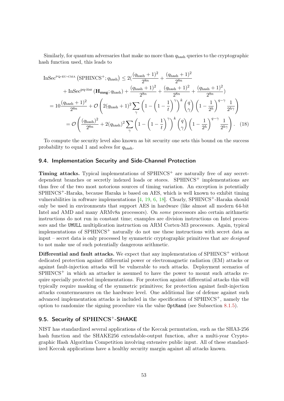<span id="page-52-2"></span>Similarly, for quantum adversaries that make no more than  $q_{\text{hash}}$  queries to the cryptographic hash function used, this leads to

$$
\begin{split} \text{InSec}^{\text{PQ-EU-CMA}} \left( \text{SPHINCS}^+; q_{\text{hash}} \right) &\le 2\left( \frac{(q_{\text{hash}} + 1)^2}{2^{8n}} + \frac{(q_{\text{hash}} + 1)^2}{2^{8n}} \right. \\ &\quad + \text{InSec}^{\text{PQ-itsr}} \left( \mathbf{H}_{\text{msg}}; q_{\text{hash}} \right) + \frac{(q_{\text{hash}} + 1)^2}{2^{8n}} + \frac{(q_{\text{hash}} + 1)^2}{2^{8n}} + \frac{(q_{\text{hash}} + 1)^2}{2^{8n}} \right) \\ &= 10 \frac{(q_{\text{hash}} + 1)^2}{2^{8n}} + \mathcal{O}\left( 2(q_{\text{hash}} + 1)^2 \sum_{\gamma} \left( 1 - \left( 1 - \frac{1}{t} \right)^{\gamma} \right)^k \left( \frac{q}{\gamma} \right) \left( 1 - \frac{1}{2^h} \right)^{q - \gamma} \frac{1}{2^{h\gamma}} \right) \\ &= \mathcal{O}\left( \frac{(q_{\text{hash}})^2}{2^{8n}} + 2(q_{\text{hash}})^2 \sum_{\gamma} \left( 1 - \left( 1 - \frac{1}{t} \right)^{\gamma} \right)^k \left( \frac{q}{\gamma} \right) \left( 1 - \frac{1}{2^h} \right)^{q - \gamma} \frac{1}{2^{h\gamma}} \right). \end{split} \tag{18}
$$

To compute the security level also known as bit security one sets this bound on the success probability to equal 1 and solves for  $q_{\text{hash}}$ .

### <span id="page-52-0"></span>9.4. Implementation Security and Side-Channel Protection

**Timing attacks.** Typical implementations of  $SPHINCS<sup>+</sup>$  are naturally free of any secretdependent branches or secretly indexed loads or stores.  $SPHINCS^+$  implementations are thus free of the two most notorious sources of timing variation. An exception is potentially SPHINCS+-Haraka, because Haraka is based on AES, which is well known to exhibit timing vulnerabilities in software implementations  $[4, 19, 6, 18]$  $[4, 19, 6, 18]$  $[4, 19, 6, 18]$  $[4, 19, 6, 18]$  $[4, 19, 6, 18]$  $[4, 19, 6, 18]$  $[4, 19, 6, 18]$ . Clearly, SPHINCS<sup>+</sup>-Haraka should only be used in environments that support AES in hardware (like almost all modern 64-bit Intel and AMD and many ARMv8a processors). On some processors also certain arithmetic instructions do not run in constant time; examples are division instructions on Intel processors and the UMULL multiplication instruction on ARM Cortex-M3 proceesors. Again, typical implementations of SPHINCS<sup>+</sup> naturally do not use these instructions with secret data as input – secret data is only processed by symmetric cryptographic primitives that are designed to not make use of such potentially dangerous arithmetic.

Differential and fault attacks. We expect that any implementation of  $SPHINCS<sup>+</sup>$  without dedicated protection against differential power or electromagnetic radiation (EM) attacks or against fault-injection attacks will be vulnerable to such attacks. Deployment scenarios of  $SPHINCS<sup>+</sup>$  in which an attacker is assumed to have the power to mount such attacks require specially protected implementations. For protection against differential attacks this will typically require masking of the symmetric primitives; for protection against fault-injection attacks countermeasures on the hardware level. One additional line of defense against such advanced implementation attacks is included in the specification of SPHINCS<sup>+</sup>, namely the option to randomize the signing procedure via the value OptRand (see Subsection [8.1.5\)](#page-44-0).

### <span id="page-52-1"></span>9.5. Security of SPHINCS<sup>+</sup>-SHAKE

NIST has standardized several applications of the Keccak permutation, such as the SHA3-256 hash function and the SHAKE256 extendable-output function, after a multi-year Cryptographic Hash Algorithm Competition involving extensive public input. All of these standardized Keccak applications have a healthy security margin against all attacks known.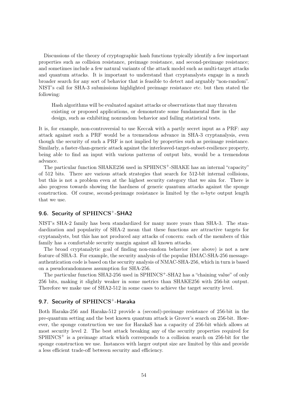Discussions of the theory of cryptographic hash functions typically identify a few important properties such as collision resistance, preimage resistance, and second-preimage resistance; and sometimes include a few natural variants of the attack model such as multi-target attacks and quantum attacks. It is important to understand that cryptanalysts engage in a much broader search for any sort of behavior that is feasible to detect and arguably "non-random". NIST's call for SHA-3 submissions highlighted preimage resistance etc. but then stated the following:

Hash algorithms will be evaluated against attacks or observations that may threaten existing or proposed applications, or demonstrate some fundamental flaw in the design, such as exhibiting nonrandom behavior and failing statistical tests.

It is, for example, non-controversial to use Keccak with a partly secret input as a PRF: any attack against such a PRF would be a tremendous advance in SHA-3 cryptanalysis, even though the security of such a PRF is not implied by properties such as preimage resistance. Similarly, a faster-than-generic attack against the interleaved-target-subset-resilience property, being able to find an input with various patterns of output bits, would be a tremendous advance.

The particular function SHAKE256 used in SPHINCS<sup>+</sup>-SHAKE has an internal "capacity" of 512 bits. There are various attack strategies that search for 512-bit internal collisions, but this is not a problem even at the highest security category that we aim for. There is also progress towards showing the hardness of generic quantum attacks against the sponge construction. Of course, second-preimage resistance is limited by the  $n$ -byte output length that we use.

### <span id="page-53-0"></span>9.6. Security of SPHINCS+-SHA2

NIST's SHA-2 family has been standardized for many more years than SHA-3. The standardization and popularity of SHA-2 mean that these functions are attractive targets for cryptanalysts, but this has not produced any attacks of concern: each of the members of this family has a comfortable security margin against all known attacks.

The broad cryptanalytic goal of finding non-random behavior (see above) is not a new feature of SHA-3. For example, the security analysis of the popular HMAC-SHA-256 messageauthentication code is based on the security analysis of NMAC-SHA-256, which in turn is based on a pseudorandomness assumption for SHA-256.

The particular function SHA2-256 used in SPHINCS<sup>+</sup>-SHA2 has a "chaining value" of only 256 bits, making it slightly weaker in some metrics than SHAKE256 with 256-bit output. Therefore we make use of SHA2-512 in some cases to achieve the target security level.

### <span id="page-53-1"></span>9.7. Security of SPHINCS<sup>+</sup>-Haraka

Both Haraka-256 and Haraka-512 provide a (second)-preimage resistance of 256-bit in the pre-quantum setting and the best known quantum attack is Grover's search on 256-bit. However, the sponge construction we use for HarakaS has a capacity of 256-bit which allows at most security level 2. The best attack breaking any of the security properties required for  $SPHINCS<sup>+</sup>$  is a preimage attack which corresponds to a collision search on 256-bit for the sponge construction we use. Instances with larger output size are limited by this and provide a less efficient trade-off between security and efficiency.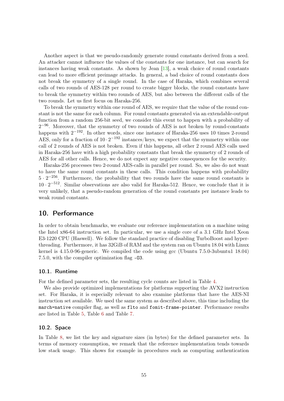<span id="page-54-3"></span>Another aspect is that we pseudo-randomly generate round constants derived from a seed. An attacker cannot influence the values of the constants for one instance, but can search for instances having weak constants. As shown by Jean [\[13\]](#page-60-8), a weak choice of round constants can lead to more efficient preimage attacks. In general, a bad choice of round constants does not break the symmetry of a single round. In the case of Haraka, which combines several calls of two rounds of AES-128 per round to create bigger blocks, the round constants have to break the symmetry within two rounds of AES, but also between the different calls of the two rounds. Let us first focus on Haraka-256.

To break the symmetry within one round of AES, we require that the value of the round constant is not the same for each column. For round constants generated via an extendable-output function from a random 256-bit seed, we consider this event to happen with a probability of  $2^{-96}$ . Moreover, that the symmetry of two rounds of AES is not broken by round-constants happens with  $2^{-192}$ . In other words, since one instance of Haraka-256 uses 10 times 2-round AES, only for a fraction of  $10 \cdot 2^{-192}$  instances/keys, we expect that the symmetry within one call of 2 rounds of AES is not broken. Even if this happens, all other 2 round AES calls used in Haraka-256 have with a high probability constants that break the symmetry of 2 rounds of AES for all other calls. Hence, we do not expect any negative consequences for the security.

Haraka-256 processes two 2-round AES-calls in parallel per round. So, we also do not want to have the same round constants in these calls. This condition happens with probability  $5 \cdot 2^{-256}$ . Furthermore, the probability that two rounds have the same round constants is  $10 \cdot 2^{-512}$ . Similar observations are also valid for Haraka-512. Hence, we conclude that it is very unlikely, that a pseudo-random generation of the round constants per instance leads to weak round constants.

### <span id="page-54-0"></span>10. Performance

In order to obtain benchmarks, we evaluate our reference implementation on a machine using the Intel x86-64 instruction set. In particular, we use a single core of a 3.1 GHz Intel Xeon E3-1220 CPU (Haswell). We follow the standard practice of disabling TurboBoost and hyperthreading. Furthermore, it has 32GiB of RAM and the system ran on Ubuntu 18.04 with Linux kernel is 4.15.0-96-generic. We compiled the code using gcc (Ubuntu 7.5.0-3ubuntu1 18.04) 7.5.0, with the compiler optimization flag -O3.

#### <span id="page-54-1"></span>10.1. Runtime

For the defined parameter sets, the resulting cycle counts are listed in Table [4.](#page-55-0)

We also provide optimized implementations for platforms supporting the AVX2 instruction set. For Haraka, it is especially relevant to also examine platforms that have the AES-NI instruction set available. We used the same system as described above, this time including the march=native compiler flag, as well as flto and fomit-frame-pointer. Performance results are listed in Table [5,](#page-56-0) Table [6](#page-56-1) and Table [7.](#page-57-1)

#### <span id="page-54-2"></span>10.2. Space

In Table [8,](#page-57-2) we list the key and signature sizes (in bytes) for the defined parameter sets. In terms of memory consumption, we remark that the reference implementation tends towards low stack usage. This shows for example in procedures such as computing authentication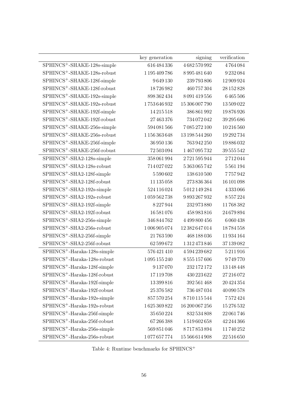|                                          | key generation     | signing        | verification  |
|------------------------------------------|--------------------|----------------|---------------|
| SPHINCS <sup>+</sup> -SHAKE-128s-simple  | 616 484 336        | 4682570992     | 4764084       |
| SPHINCS <sup>+</sup> -SHAKE-128s-robust  | 1 195 409 786      | 8995481640     | 9232084       |
| SPHINCS <sup>+</sup> -SHAKE-128f-simple  | 9649130            | 239 793 806    | 12 909 924    |
| SPHINCS <sup>+</sup> -SHAKE-128f-robust  | 18726982           | 460 757 304    | 28 152 828    |
| SPHINCS <sup>+</sup> -SHAKE-192s-simple  | 898 362 434        | 8091419556     | 6465506       |
| SPHINCS <sup>+</sup> -SHAKE-192s-robust  | 1753646932         | 15 306 007 790 | 13 509 022    |
| SPHINCS <sup>+</sup> -SHAKE-192f-simple  | 14215518           | 386 861 992    | 19876926      |
| SPHINCS <sup>+</sup> -SHAKE-192f-robust  | 27 463 376         | 734 072 042    | 39 295 686    |
| SPHINCS <sup>+</sup> -SHAKE-256s-simple  | 594 081 566        | 7085272100     | 10 216 560    |
| SPHINCS <sup>+</sup> -SHAKE-256s-robust  | 1 156 363 648      | 13 198 544 260 | 19 292 734    |
| SPHINCS <sup>+</sup> -SHAKE-256f-simple  | 36 950 136         | 763 942 250    | 19886032      |
| SPHINCS <sup>+</sup> -SHAKE-256f-robust  | 72 503 094         | 1467095732     | 39 555 542    |
| SPHINCS <sup>+</sup> -SHA2-128s-simple   | 358 061 994        | 2721595944     | 2712044       |
| SPHINCS <sup>+</sup> -SHA2-128s-robust   | 714 027 022        | 5 363 065 742  | 5561194       |
| SPHINCS <sup>+</sup> -SHA2-128f-simple   | 5 5 9 0 6 0 2      | 138 610 500    | 7757942       |
| SPHINCS <sup>+</sup> -SHA2-128f-robust   | 11 135 058         | 273 836 364    | 16 101 098    |
| SPHINCS <sup>+</sup> -SHA2-192s-simple   | 524 116 024        | 5012149284     | 4333066       |
| SPHINCS <sup>+</sup> -SHA2-192s-robust   | $1\,059\,562\,738$ | 9893267932     | 8557224       |
| SPHINCS <sup>+</sup> -SHA2-192f-simple   | 8227944            | 232973880      | 11768382      |
| SPHINCS <sup>+</sup> -SHA2-192f-robust   | 16 581 076         | 458 983 816    | 24679894      |
| SPHINCS <sup>+</sup> -SHA2-256s-simple   | 346 844 762        | 4 499 800 456  | 6 0 6 4 4 3 8 |
| SPHINCS <sup>+</sup> -SHA2-256s-robust   | 1006905074         | 12 382 647 014 | 18784558      |
| SPHINCS <sup>+</sup> -SHA2-256f-simple   | 21763590           | 468 188 036    | 11934164      |
| SPHINCS <sup>+</sup> -SHA2-256f-robust   | 62 599 672         | 1312473846     | 37 139 082    |
| $SPHINCS+$ -Haraka-128s-simple           | 576 421 410        | 4594239682     | 5211916       |
| SPHINCS <sup>+</sup> -Haraka-128s-robust | 1095155240         | 8555157606     | 9749770       |
| SPHINCS <sup>+</sup> -Haraka-128f-simple | 9137070            | 232 172 172    | 13 148 448    |
| SPHINCS <sup>+</sup> -Haraka-128f-robust | 17 119 708         | 430 223 622    | 27 216 072    |
| SPHINCS <sup>+</sup> -Haraka-192f-simple | 13 399 816         | 392 561 468    | 20 4 24 35 4  |
| $SPHINCS^+$ -Haraka-192f-robust          | 25 376 582         | 736 487 034    | 40 090 578    |
| $SPHINCS^+$ -Haraka-192s-simple          | 857 570 254        | 8710115544     | 7572424       |
| SPHINCS <sup>+</sup> -Haraka-192s-robust | 1625369822         | 16 200 067 256 | 15 276 532    |
| SPHINCS <sup>+</sup> -Haraka-256f-simple | 35 650 224         | 832 534 808    | 22 061 746    |
| SPHINCS <sup>+</sup> -Haraka-256f-robust | 67266388           | 1519602658     | 42 244 366    |
| SPHINCS <sup>+</sup> -Haraka-256s-simple | 569 851 046        | 8717853894     | 11740252      |
| SPHINCS <sup>+</sup> -Haraka-256s-robust | 1077657774         | 15 566 614 908 | 22 516 650    |

<span id="page-55-0"></span>Table 4: Runtime benchmarks for  ${\rm SPHINCS^+}$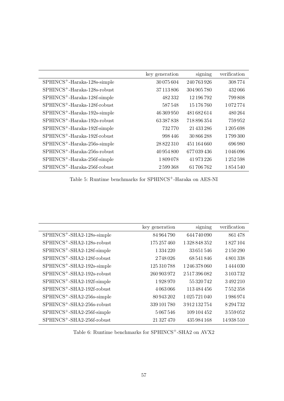|                                          | key generation | signing     | verification |
|------------------------------------------|----------------|-------------|--------------|
| $SPHINCS^+$ -Haraka-128s-simple          | 30 075 604     | 240 763 926 | 308774       |
| $SPHINCS^+$ -Haraka-128s-robust          | 37 113 806     | 304 905 780 | 432066       |
| $SPHINCS^+$ -Haraka-128f-simple          | 482332         | 12 196 792  | 799808       |
| $SPHINCS+ - Haraka-128f-robust$          | 587548         | 15 176 760  | 1072774      |
| $SPHINCS+$ -Haraka-192s-simple           | 46 369 950     | 481682614   | 480264       |
| $SPHINCS^+$ -Haraka-192s-robust          | 63387838       | 718 896 354 | 759952       |
| $SPHINCS^+$ -Haraka-192f-simple          | 732770         | 21 433 286  | 1205698      |
| SPHINCS <sup>+</sup> -Haraka-192f-robust | 998446         | 30 866 288  | 1799300      |
| $SPHINCS^+$ -Haraka-256s-simple          | 28 822 310     | 451 164 660 | 696980       |
| $SPHINCS^+$ -Haraka-256s-robust          | 40 954 800     | 677039436   | 1046096      |
| $SPHINCS^+$ -Haraka-256f-simple          | 1809078        | 41 973 226  | 1252598      |
| $SPHINCS+$ -Haraka-256f-robust           | 2599368        | 61706762    | 1854540      |

<span id="page-56-0"></span>Table 5: Runtime benchmarks for  ${\rm SPHINCS}^+{\rm}-{\rm Haraka}$  on AES-NI

|                                        | key generation | signing       | verification  |
|----------------------------------------|----------------|---------------|---------------|
| $SPHINCS^+$ -SHA2-128s-simple          | 84 964 790     | 644 740 090   | 861478        |
| SPHINCS <sup>+</sup> -SHA2-128s-robust | 175 257 460    | 1328848352    | 1827104       |
| SPHINCS <sup>+</sup> -SHA2-128f-simple | 1 3 3 4 2 2 0  | 33 651 546    | 2 150 290     |
| SPHINCS <sup>+</sup> -SHA2-128f-robust | 2748026        | 68 541 846    | 4801338       |
| SPHINCS <sup>+</sup> -SHA2-192s-simple | 125 310 788    | 1 246 378 060 | 1444030       |
| $SPHINCS^+$ -SHA2-192s-robust          | 260 903 972    | 2517396082    | 3 103 732     |
| $SPHINCS+-SHA2-192f-simple$            | 1928970        | 55 320 742    | 3492210       |
| SPHINCS <sup>+</sup> -SHA2-192f-robust | 4063066        | 113 484 456   | 7552358       |
| $SPHINCS+-SHA2-256s-simple$            | 80 943 202     | 1025721040    | 1986974       |
| SPHINCS <sup>+</sup> -SHA2-256s-robust | 339 101 780    | 3912132754    | 8 2 9 4 7 3 2 |
| SPHINCS <sup>+</sup> -SHA2-256f-simple | 5067546        | 109 104 452   | 3559052       |
| SPHINCS <sup>+</sup> -SHA2-256f-robust | 21 327 470     | 435 984 168   | 14938510      |

<span id="page-56-1"></span>Table 6: Runtime benchmarks for SPHINCS+-SHA2 on AVX2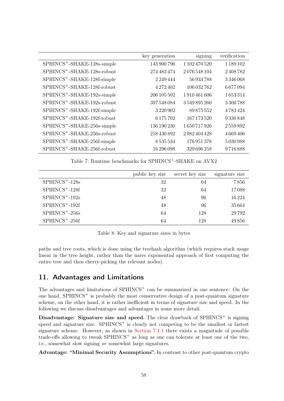|                                         | key generation | signing       | verification  |
|-----------------------------------------|----------------|---------------|---------------|
| SPHINCS <sup>+</sup> -SHAKE-128s-simple | 143 900 796    | 1 102 470 520 | 1 1 8 9 1 0 2 |
| SPHINCS <sup>+</sup> -SHAKE-128s-robust | 274 483 474    | 2076548104    | 2408782       |
| $SPHINCS^+$ -SHAKE-128f-simple          | 2249444        | 56933788      | 3346068       |
| SPHINCS <sup>+</sup> -SHAKE-128f-robust | 4 272 402      | 106 032 762   | 6677094       |
| $SPHINCS^+$ -SHAKE-192s-simple          | 206 105 502    | 1910461606    | 1653314       |
| SPHINCS <sup>+</sup> -SHAKE-192s-robust | 397 548 084    | 3549895260    | 3300788       |
| $SPHINCS^+$ -SHAKE-192f-simple          | 3220902        | 89 875 552    | 4783424       |
| SPHINCS <sup>+</sup> -SHAKE-192f-robust | 6175702        | 167 173 520   | 9330848       |
| SPHINCS <sup>+</sup> -SHAKE-256s-simple | 136 190 230    | 1650717926    | 2559892       |
| SPHINCS <sup>+</sup> -SHAKE-256s-robust | 258 430 892    | 2982404428    | 4669406       |
| SPHINCS <sup>+</sup> -SHAKE-256f-simple | 8535534        | 176 951 378   | 5030988       |
| SPHINCS <sup>+</sup> -SHAKE-256f-robust | 16 296 098     | 329 696 258   | 9716888       |

<span id="page-57-1"></span>Table 7: Runtime benchmarks for SPHINCS<sup>+</sup>-SHAKE on AVX2

|                    | public key size | secret key size | signature size |
|--------------------|-----------------|-----------------|----------------|
| $SPHINCS^+ - 128s$ | 32              | 64              | 7856           |
| $SPHINCS+-128f$    | 32              | 64              | 17088          |
| $SPHINCS^+ - 192s$ | 48              | 96              | 16224          |
| $SPHINCS+-192f$    | 48              | 96              | 35664          |
| $SPHINCS^+ - 256s$ | 64              | 128             | 29792          |
| $SPHINCS+ - 256f$  | 64              | 128             | 49856          |

<span id="page-57-2"></span>Table 8: Key and signature sizes in bytes

paths and tree roots, which is done using the treehash algorithm (which requires stack usage linear in the tree height, rather than the naive exponential approach of first computing the entire tree and then cherry-picking the relevant nodes).

### <span id="page-57-0"></span>11. Advantages and Limitations

The advantages and limitations of  $SPHINCS<sup>+</sup>$  can be summarized in one sentence: On the one hand,  $SPHINCS<sup>+</sup>$  is probably the most conservative design of a post-quantum signature scheme, on the other hand, it is rather inefficient in terms of signature size and speed. In the following we discuss disadvantages and advantages in some more detail.

Disadvantage: Signature size and speed. The clear drawback of SPHINCS<sup>+</sup> is signing speed and signature size.  $SPHINCS<sup>+</sup>$  is clearly not competing to be the smallest or fastest signature scheme. However, as shown in [Section 7.1.1](#page-35-0) there exists a magnitude of possible trade-offs allowing to tweak  $SPHINCS<sup>+</sup>$  as long as one can tolerate at least one of the two, i.e., somewhat slow signing or somewhat large signatures.

Advantage: "Minimal Security Assumptions". In contrast to other post-quantum crypto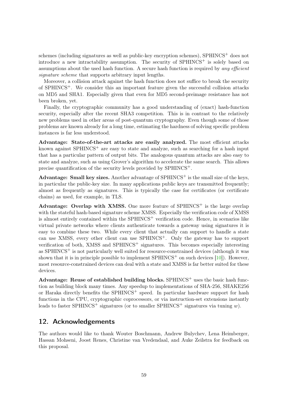<span id="page-58-1"></span>schemes (including signatures as well as public-key encryption schemes), SPHINCS<sup>+</sup> does not introduce a new intractability assumption. The security of  $SPHINCS^+$  is solely based on assumptions about the used hash function. A secure hash function is required by *any efficient* signature scheme that supports arbitrary input lengths.

Moreover, a collision attack against the hash function does not suffice to break the security of  $SPHINCS^+$ . We consider this an important feature given the successful collision attacks on MD5 and SHA1. Especially given that even for MD5 second-preimage resistance has not been broken, yet.

Finally, the cryptographic community has a good understanding of (exact) hash-function security, especially after the recent SHA3 competition. This is in contrast to the relatively new problems used in other areas of post-quantum cryptography. Even though some of those problems are known already for a long time, estimating the hardness of solving specific problem instances is far less understood.

Advantage: State-of-the-art attacks are easily analyzed. The most efficient attacks known against SPHINCS<sup>+</sup> are easy to state and analyze, such as searching for a hash input that has a particular pattern of output bits. The analogous quantum attacks are also easy to state and analyze, such as using Grover's algorithm to accelerate the same search. This allows precise quantification of the security levels provided by SPHINCS+.

Advantage: Small key sizes. Another advantage of  $SPHINCS<sup>+</sup>$  is the small size of the keys, in particular the public-key size. In many applications public keys are transmitted frequently; almost as frequently as signatures. This is typically the case for certificates (or certificate chains) as used, for example, in TLS.

Advantage: Overlap with XMSS. One more feature of  $SPHINCS<sup>+</sup>$  is the large overlap with the stateful hash-based signature scheme XMSS. Especially the verification code of XMSS is almost entirely contained within the  $SPHINCS^+$  verification code. Hence, in scenarios like virtual private networks where clients authenticate towards a gateway using signatures it is easy to combine these two. While every client that actually can support to handle a state can use XMSS, every other client can use  $SPHINCS^+$ . Only the gateway has to support verification of both, XMSS and SPHINCS<sup>+</sup> signatures. This becomes especially interesting as SPHINCS<sup> $+$ </sup> is not particularly well suited for resource-constrained devices (although it was shown that it is in principle possible to implement  $SPHINCS^+$  on such devices  $[10]$ ). However, most resource-constrained devices can deal with a state and XMSS is far better suited for these devices.

Advantage: Reuse of established building blocks.  $SPHINCS<sup>+</sup>$  uses the basic hash function as building block many times. Any speedup to implementations of SHA-256, SHAKE256 or Haraka directly benefits the  $SPHINCS<sup>+</sup>$  speed. In particular hardware support for hash functions in the CPU, cryptographic coprocessors, or via instruction-set extensions instantly leads to faster SPHINCS<sup>+</sup> signatures (or to smaller SPHINCS<sup>+</sup> signatures via tuning w).

### <span id="page-58-0"></span>12. Acknowledgements

The authors would like to thank Wouter Boschmann, Andrew Bulychev, Lena Heimberger, Hassan Mohseni, Joost Renes, Christine van Vredendaal, and Auke Zeilstra for feedback on this proposal.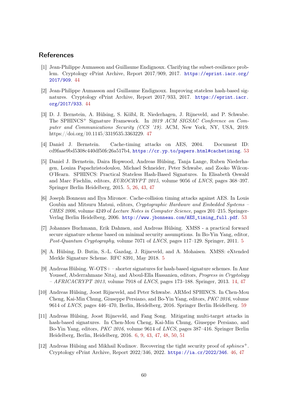### **References**

- <span id="page-59-5"></span>[1] Jean-Philippe Aumasson and Guillaume Endignoux. Clarifying the subset-resilience problem. Cryptology ePrint Archive, Report 2017/909, 2017. [https://eprint.iacr.org/](https://eprint.iacr.org/2017/909) [2017/909](https://eprint.iacr.org/2017/909). [44](#page-43-2)
- <span id="page-59-6"></span>[2] Jean-Philippe Aumasson and Guillaume Endignoux. Improving stateless hash-based signatures. Cryptology ePrint Archive, Report 2017/933, 2017. [https://eprint.iacr.](https://eprint.iacr.org/2017/933) [org/2017/933](https://eprint.iacr.org/2017/933). [44](#page-43-2)
- <span id="page-59-8"></span>[3] D. J. Bernstein, A. Hülsing, S. Kölbl, R. Niederhagen, J. Rijneveld, and P. Schwabe. The SPHINCS<sup>+</sup> Signature Framework. In 2019 ACM SIGSAC Conference on Computer and Communications Security (CCS '19). ACM, New York, NY, USA, 2019. https://doi.org/10.1145/3319535.3363229. [47](#page-46-0)
- <span id="page-59-9"></span>[4] Daniel J. Bernstein. Cache-timing attacks on AES, 2004. Document ID: cd9faae9bd5308c440df50fc26a517b4, <https://cr.yp.to/papers.html#cachetiming>. [53](#page-52-2)
- <span id="page-59-2"></span>[5] Daniel J. Bernstein, Daira Hopwood, Andreas Hülsing, Tanja Lange, Ruben Niederhagen, Louiza Papachristodoulou, Michael Schneider, Peter Schwabe, and Zooko Wilcox-O'Hearn. SPHINCS: Practical Stateless Hash-Based Signatures. In Elisabeth Oswald and Marc Fischlin, editors, EUROCRYPT 2015, volume 9056 of LNCS, pages 368–397. Springer Berlin Heidelberg, 2015. [5,](#page-4-1) [26,](#page-25-2) [43,](#page-42-3) [47](#page-46-0)
- <span id="page-59-10"></span>[6] Joseph Bonneau and Ilya Mironov. Cache-collision timing attacks against AES. In Louis Goubin and Mitsuru Matsui, editors, Cryptographic Hardware and Embedded Systems – CHES 2006, volume 4249 of Lecture Notes in Computer Science, pages 201–215. Springer-Verlag Berlin Heidelberg, 2006. [http://www.jbonneau.com/AES\\_timing\\_full.pdf](http://www.jbonneau.com/AES_timing_full.pdf). [53](#page-52-2)
- <span id="page-59-0"></span>[7] Johannes Buchmann, Erik Dahmen, and Andreas Hülsing. XMSS - a practical forward secure signature scheme based on minimal security assumptions. In Bo-Yin Yang, editor, Post-Quantum Cryptography, volume 7071 of LNCS, pages 117–129. Springer, 2011. [5](#page-4-1)
- <span id="page-59-1"></span>[8] A. Hülsing, D. Butin, S.-L. Gazdag, J. Rijneveld, and A. Mohaisen. XMSS: eXtended Merkle Signature Scheme. RFC 8391, May 2018. [5](#page-4-1)
- <span id="page-59-4"></span>[9] Andreas Hülsing. W-OTS+ – shorter signatures for hash-based signature schemes. In Amr Youssef, Abderrahmane Nitaj, and Aboul-Ella Hassanien, editors, *Progress in Cryptology*  $-$  AFRICACRYPT 2013, volume 7918 of LNCS, pages 173–188. Springer, 2013. [14,](#page-13-3) [47](#page-46-0)
- <span id="page-59-11"></span>[10] Andreas Hülsing, Joost Rijneveld, and Peter Schwabe. ARMed SPHINCS. In Chen-Mou Cheng, Kai-Min Chung, Giuseppe Persiano, and Bo-Yin Yang, editors, PKC 2016, volume 9614 of LNCS, pages 446–470, Berlin, Heidelberg, 2016. Springer Berlin Heidelberg. [59](#page-58-1)
- <span id="page-59-3"></span>[11] Andreas Hülsing, Joost Rijneveld, and Fang Song. Mitigating multi-target attacks in hash-based signatures. In Chen-Mou Cheng, Kai-Min Chung, Giuseppe Persiano, and Bo-Yin Yang, editors, PKC 2016, volume 9614 of LNCS, pages 387–416. Springer Berlin Heidelberg, Berlin, Heidelberg, 2016. [6,](#page-5-1) [9,](#page-8-3) [43,](#page-42-3) [47,](#page-46-0) [48,](#page-47-3) [50,](#page-49-2) [51](#page-50-3)
- <span id="page-59-7"></span>[12] Andreas Hülsing and Mikhail Kudinov. Recovering the tight security proof of *sphincs*<sup>+</sup>. Cryptology ePrint Archive, Report 2022/346, 2022. <https://ia.cr/2022/346>. [46,](#page-45-2) [47](#page-46-0)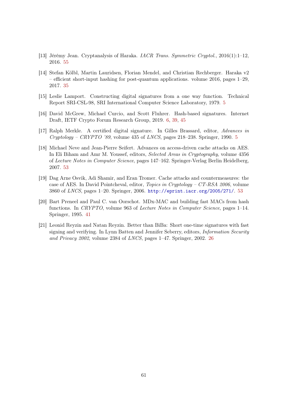- <span id="page-60-8"></span>[13] Jérémy Jean. Cryptanalysis of Haraka. IACR Trans. Symmetric Cryptol., 2016(1):1–12, 2016. [55](#page-54-3)
- <span id="page-60-4"></span>[14] Stefan Kölbl, Martin Lauridsen, Florian Mendel, and Christian Rechberger. Haraka v2 – efficient short-input hashing for post-quantum applications. volume 2016, pages 1–29, 2017. [35](#page-34-2)
- <span id="page-60-0"></span>[15] Leslie Lamport. Constructing digital signatures from a one way function. Technical Report SRI-CSL-98, SRI International Computer Science Laboratory, 1979. [5](#page-4-1)
- <span id="page-60-2"></span>[16] David McGrew, Michael Curcio, and Scott Fluhrer. Hash-based signatures. Internet Draft, IETF Crypto Forum Research Group, 2019. [6,](#page-5-1) [39,](#page-38-2) [45](#page-44-2)
- <span id="page-60-1"></span>[17] Ralph Merkle. A certified digital signature. In Gilles Brassard, editor, Advances in  $Cryptology - CRYPTO$  '89, volume 43[5](#page-4-1) of *LNCS*, pages 218–238. Springer, 1990. 5
- <span id="page-60-7"></span>[18] Michael Neve and Jean-Pierre Seifert. Advances on access-driven cache attacks on AES. In Eli Biham and Amr M. Youssef, editors, Selected Areas in Cryptography, volume 4356 of Lecture Notes in Computer Science, pages 147–162. Springer-Verlag Berlin Heidelberg, 2007. [53](#page-52-2)
- <span id="page-60-6"></span>[19] Dag Arne Osvik, Adi Shamir, and Eran Tromer. Cache attacks and countermeasures: the case of AES. In David Pointcheval, editor, Topics in Cryptology – CT-RSA 2006, volume 3860 of LNCS, pages 1–20. Springer, 2006. <http://eprint.iacr.org/2005/271/>. [53](#page-52-2)
- <span id="page-60-5"></span>[20] Bart Preneel and Paul C. van Oorschot. MDx-MAC and building fast MACs from hash functions. In CRYPTO, volume 963 of Lecture Notes in Computer Science, pages 1–14. Springer, 1995. [41](#page-40-2)
- <span id="page-60-3"></span>[21] Leonid Reyzin and Natan Reyzin. Better than BiBa: Short one-time signatures with fast signing and verifying. In Lynn Batten and Jennifer Seberry, editors, *Information Security* and Privacy 2002, volume 2384 of LNCS, pages 1–47. Springer, 2002. [26](#page-25-2)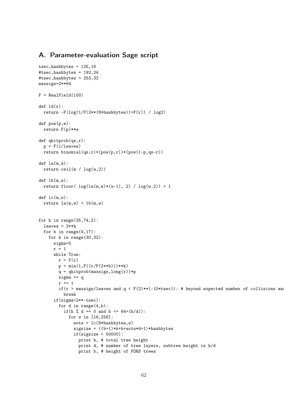### <span id="page-61-0"></span>A. Parameter-evaluation Sage script

```
tsec, hashbytes = 125,16#tsec,hashbytes = 192,24
#tsec,hashbytes = 253,32
maxsigs=2**64
F = RealField(100)def Id(r):return -F(\log(1/F(2**(8*hashbytes)))+F(r)) / log2)def pow(p,e):
  return F(p)**e
def qhitprob(qs,r):
  p = F(1/leaves)return binomial(qs,r)*(pow(p,r))*(pow(1-p,qs-r))
def la(m,w):
  return ceil(m / log(w,2))
def lb(m,w):return floor( log(la(m,w)*(w-1), 2) / log(w,2)) + 1def lc(m,w):
  return l_a(m,w) + lb(m,w)for h in range(35, 74, 2):
  leaves = 2**hfor b in range(4,17):
    for k in range(30,32):
      sigma=0
     r = 1while True:
        r = F(r)p = min(1, F((r/F(2**b)))**k)q = qhitprob(maxsigs, long(r))*p
        sigma += q
        r += 1
        if(r > maxsigs/leaves and q < F(2)**(-10*tsec)): # beyond expected number of collisions and
          break
      if(sigma<2**-tsec):
        for d in range(4,h):
          if(h % d == 0 and h <= 64+(h/d)):
            for w in [16,256]:
              wots = lc(8*hashbytes, w)sigsize = ((b+1)*k+h+wots*d+1)*hashbytesif(sigsize < 50000):
                print h, # total tree height
                print d, # number of tree layers, subtree height is h/d
                print b, # height of FORS trees
```